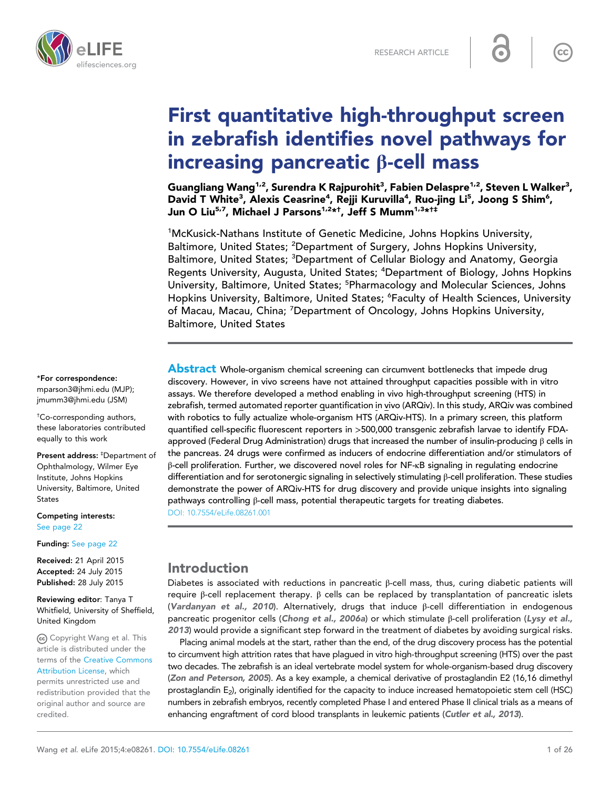



# First quantitative high-throughput screen in zebrafish identifies novel pathways for increasing pancreatic β-cell mass

Guangliang Wang<sup>1,2</sup>, Surendra K Rajpurohit<sup>3</sup>, Fabien Delaspre<sup>1,2</sup>, Steven L Walker<sup>3</sup>, David T White<sup>3</sup>, Alexis Ceasrine<sup>4</sup>, Rejji Kuruvilla<sup>4</sup>, Ruo-jing Li<sup>5</sup>, Joong S Shim<sup>6</sup>, Jun O Liu<sup>5,7</sup>, Michael J Parsons<sup>1,2</sup>\*†, Jeff S Mumm<sup>1,3</sup>\*†‡

<sup>1</sup>McKusick-Nathans Institute of Genetic Medicine, Johns Hopkins University, Baltimore, United States; <sup>2</sup>Department of Surgery, Johns Hopkins University, Baltimore, United States; <sup>3</sup>Department of Cellular Biology and Anatomy, Georgia Regents University, Augusta, United States; <sup>4</sup>Department of Biology, Johns Hopkins University, Baltimore, United States; <sup>5</sup>Pharmacology and Molecular Sciences, Johns Hopkins University, Baltimore, United States; <sup>6</sup>Faculty of Health Sciences, University of Macau, Macau, China; <sup>7</sup>Department of Oncology, Johns Hopkins University, Baltimore, United States

**Abstract** Whole-organism chemical screening can circumvent bottlenecks that impede drug discovery. However, in vivo screens have not attained throughput capacities possible with in vitro assays. We therefore developed a method enabling in vivo high-throughput screening (HTS) in zebrafish, termed automated reporter quantification in vivo (ARQiv). In this study, ARQiv was combined with robotics to fully actualize whole-organism HTS (ARQiv-HTS). In a primary screen, this platform quantified cell-specific fluorescent reporters in >500,000 transgenic zebrafish larvae to identify FDAapproved (Federal Drug Administration) drugs that increased the number of insulin-producing β cells in the pancreas. 24 drugs were confirmed as inducers of endocrine differentiation and/or stimulators of β-cell proliferation. Further, we discovered novel roles for NF-κB signaling in regulating endocrine differentiation and for serotonergic signaling in selectively stimulating β-cell proliferation. These studies demonstrate the power of ARQiv-HTS for drug discovery and provide unique insights into signaling pathways controlling β-cell mass, potential therapeutic targets for treating diabetes. [DOI: 10.7554/eLife.08261.001](http://dx.doi.org/10.7554/eLife.08261.001)

# Introduction

Diabetes is associated with reductions in pancreatic β-cell mass, thus, curing diabetic patients will require β-cell replacement therapy. β cells can be replaced by transplantation of pancreatic islets ([Vardanyan et al., 2010](#page-24-0)). Alternatively, drugs that induce β-cell differentiation in endogenous pancreatic progenitor cells ([Chong et al., 2006a](#page-22-0)) or which stimulate β-cell proliferation ([Lysy et al.,](#page-23-0) [2013](#page-23-0)) would provide a significant step forward in the treatment of diabetes by avoiding surgical risks.

Placing animal models at the start, rather than the end, of the drug discovery process has the potential to circumvent high attrition rates that have plagued in vitro high-throughput screening (HTS) over the past two decades. The zebrafish is an ideal vertebrate model system for whole-organism-based drug discovery ([Zon and Peterson, 2005](#page-25-0)). As a key example, a chemical derivative of prostaglandin E2 (16,16 dimethyl prostaglandin E<sub>2</sub>), originally identified for the capacity to induce increased hematopoietic stem cell (HSC) numbers in zebrafish embryos, recently completed Phase I and entered Phase II clinical trials as a means of enhancing engraftment of cord blood transplants in leukemic patients ([Cutler et al., 2013](#page-22-0)).

\*For correspondence: [mparson3@jhmi.edu](mailto:mparson3@jhmi.edu) (MJP); [jmumm3@jhmi.edu](mailto:jmumm3@jhmi.edu) (JSM)

† Co-corresponding authors, these laboratories contributed equally to this work

Present address: <sup>‡</sup>Department of Ophthalmology, Wilmer Eye Institute, Johns Hopkins University, Baltimore, United States

Competing interests: [See page 22](#page-21-0)

Funding: [See page 22](#page-21-0)

Received: 21 April 2015 Accepted: 24 July 2015 Published: 28 July 2015

Reviewing editor: Tanya T Whitfield, University of Sheffield, United Kingdom

Copyright Wang et al. This article is distributed under the terms of the [Creative Commons](http://creativecommons.org/licenses/by/4.0/) [Attribution License,](http://creativecommons.org/licenses/by/4.0/) which permits unrestricted use and redistribution provided that the original author and source are credited.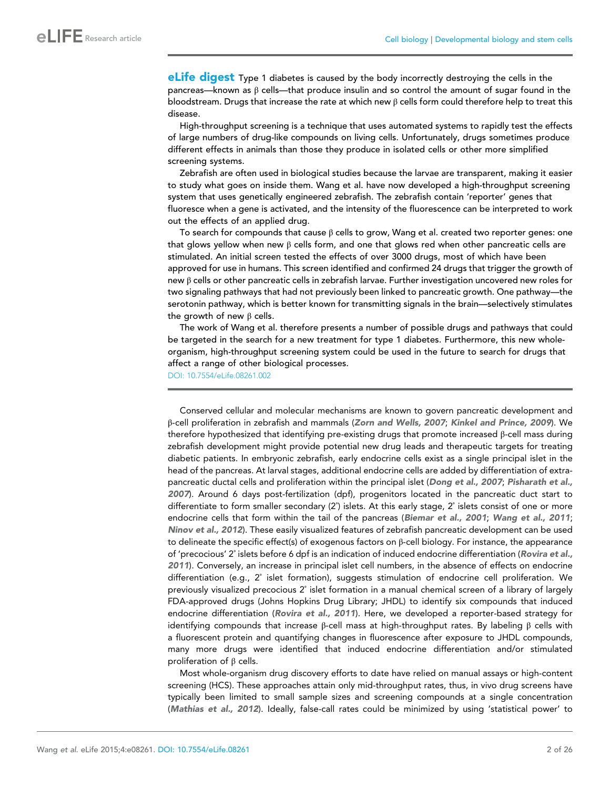eLife digest Type 1 diabetes is caused by the body incorrectly destroying the cells in the pancreas—known as β cells—that produce insulin and so control the amount of sugar found in the bloodstream. Drugs that increase the rate at which new  $\beta$  cells form could therefore help to treat this disease.

High-throughput screening is a technique that uses automated systems to rapidly test the effects of large numbers of drug-like compounds on living cells. Unfortunately, drugs sometimes produce different effects in animals than those they produce in isolated cells or other more simplified screening systems.

Zebrafish are often used in biological studies because the larvae are transparent, making it easier to study what goes on inside them. Wang et al. have now developed a high-throughput screening system that uses genetically engineered zebrafish. The zebrafish contain 'reporter' genes that fluoresce when a gene is activated, and the intensity of the fluorescence can be interpreted to work out the effects of an applied drug.

To search for compounds that cause  $\beta$  cells to grow, Wang et al. created two reporter genes: one that glows yellow when new β cells form, and one that glows red when other pancreatic cells are stimulated. An initial screen tested the effects of over 3000 drugs, most of which have been approved for use in humans. This screen identified and confirmed 24 drugs that trigger the growth of new β cells or other pancreatic cells in zebrafish larvae. Further investigation uncovered new roles for two signaling pathways that had not previously been linked to pancreatic growth. One pathway—the serotonin pathway, which is better known for transmitting signals in the brain—selectively stimulates the growth of new  $β$  cells.

The work of Wang et al. therefore presents a number of possible drugs and pathways that could be targeted in the search for a new treatment for type 1 diabetes. Furthermore, this new wholeorganism, high-throughput screening system could be used in the future to search for drugs that affect a range of other biological processes.

[DOI: 10.7554/eLife.08261.002](http://dx.doi.org/10.7554/eLife.08261.002)

Conserved cellular and molecular mechanisms are known to govern pancreatic development and β-cell proliferation in zebrafish and mammals ([Zorn and Wells, 2007](#page-25-0); [Kinkel and Prince, 2009](#page-23-0)). We therefore hypothesized that identifying pre-existing drugs that promote increased β-cell mass during zebrafish development might provide potential new drug leads and therapeutic targets for treating diabetic patients. In embryonic zebrafish, early endocrine cells exist as a single principal islet in the head of the pancreas. At larval stages, additional endocrine cells are added by differentiation of extra-pancreatic ductal cells and proliferation within the principal islet ([Dong et al., 2007](#page-22-0); [Pisharath et al.,](#page-24-0) [2007](#page-24-0)). Around 6 days post-fertilization (dpf), progenitors located in the pancreatic duct start to differentiate to form smaller secondary (2˚) islets. At this early stage, 2˚ islets consist of one or more endocrine cells that form within the tail of the pancreas ([Biemar et al., 2001](#page-22-0); [Wang et al., 2011](#page-24-0); [Ninov et al., 2012](#page-23-0)). These easily visualized features of zebrafish pancreatic development can be used to delineate the specific effect(s) of exogenous factors on β-cell biology. For instance, the appearance of 'precocious' 2˚ islets before 6 dpf is an indication of induced endocrine differentiation ([Rovira et al.,](#page-24-0) [2011](#page-24-0)). Conversely, an increase in principal islet cell numbers, in the absence of effects on endocrine differentiation (e.g., 2˚ islet formation), suggests stimulation of endocrine cell proliferation. We previously visualized precocious 2˚ islet formation in a manual chemical screen of a library of largely FDA-approved drugs (Johns Hopkins Drug Library; JHDL) to identify six compounds that induced endocrine differentiation ([Rovira et al., 2011](#page-24-0)). Here, we developed a reporter-based strategy for identifying compounds that increase β-cell mass at high-throughput rates. By labeling β cells with a fluorescent protein and quantifying changes in fluorescence after exposure to JHDL compounds, many more drugs were identified that induced endocrine differentiation and/or stimulated proliferation of β cells.

Most whole-organism drug discovery efforts to date have relied on manual assays or high-content screening (HCS). These approaches attain only mid-throughput rates, thus, in vivo drug screens have typically been limited to small sample sizes and screening compounds at a single concentration ([Mathias et al., 2012](#page-23-0)). Ideally, false-call rates could be minimized by using 'statistical power' to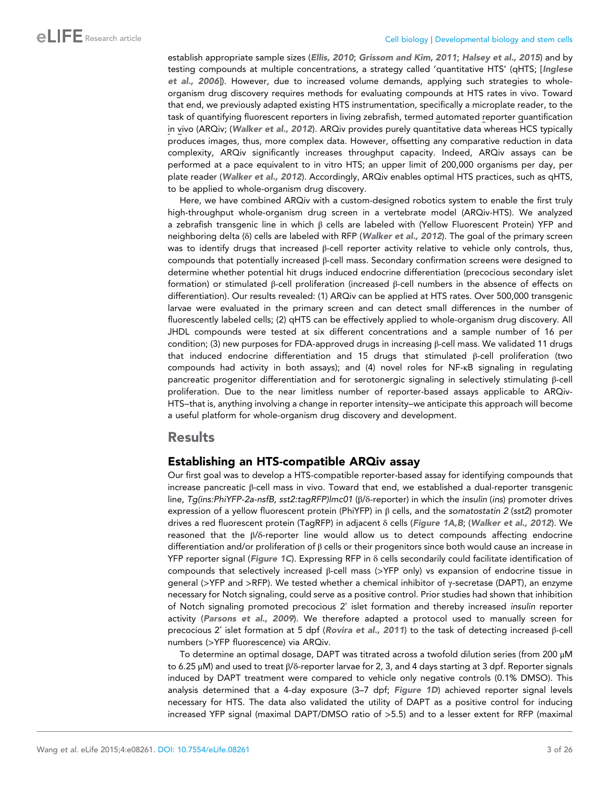establish appropriate sample sizes ([Ellis, 2010](#page-22-0); [Grissom and Kim, 2011](#page-23-0); [Halsey et al., 2015](#page-23-0)) and by testing compounds at multiple concentrations, a strategy called 'quantitative HTS' (qHTS; [[Inglese](#page-23-0) [et al., 2006](#page-23-0)]). However, due to increased volume demands, applying such strategies to wholeorganism drug discovery requires methods for evaluating compounds at HTS rates in vivo. Toward that end, we previously adapted existing HTS instrumentation, specifically a microplate reader, to the task of quantifying fluorescent reporters in living zebrafish, termed automated reporter quantification in vivo (ARQiv; ([Walker et al., 2012](#page-24-0)). ARQiv provides purely quantitative data whereas HCS typically produces images, thus, more complex data. However, offsetting any comparative reduction in data complexity, ARQiv significantly increases throughput capacity. Indeed, ARQiv assays can be performed at a pace equivalent to in vitro HTS; an upper limit of 200,000 organisms per day, per plate reader ([Walker et al., 2012](#page-24-0)). Accordingly, ARQiv enables optimal HTS practices, such as qHTS, to be applied to whole-organism drug discovery.

Here, we have combined ARQiv with a custom-designed robotics system to enable the first truly high-throughput whole-organism drug screen in a vertebrate model (ARQiv-HTS). We analyzed a zebrafish transgenic line in which β cells are labeled with (Yellow Fluorescent Protein) YFP and neighboring delta (δ) cells are labeled with RFP ([Walker et al., 2012](#page-24-0)). The goal of the primary screen was to identify drugs that increased β-cell reporter activity relative to vehicle only controls, thus, compounds that potentially increased β-cell mass. Secondary confirmation screens were designed to determine whether potential hit drugs induced endocrine differentiation (precocious secondary islet formation) or stimulated β-cell proliferation (increased β-cell numbers in the absence of effects on differentiation). Our results revealed: (1) ARQiv can be applied at HTS rates. Over 500,000 transgenic larvae were evaluated in the primary screen and can detect small differences in the number of fluorescently labeled cells; (2) qHTS can be effectively applied to whole-organism drug discovery. All JHDL compounds were tested at six different concentrations and a sample number of 16 per condition; (3) new purposes for FDA-approved drugs in increasing β-cell mass. We validated 11 drugs that induced endocrine differentiation and 15 drugs that stimulated β-cell proliferation (two compounds had activity in both assays); and (4) novel roles for NF-κB signaling in regulating pancreatic progenitor differentiation and for serotonergic signaling in selectively stimulating β-cell proliferation. Due to the near limitless number of reporter-based assays applicable to ARQiv-HTS―that is, anything involving a change in reporter intensity―we anticipate this approach will become a useful platform for whole-organism drug discovery and development.

### **Results**

# Establishing an HTS-compatible ARQiv assay

Our first goal was to develop a HTS-compatible reporter-based assay for identifying compounds that increase pancreatic β-cell mass in vivo. Toward that end, we established a dual-reporter transgenic line, Tg(ins:PhiYFP-2a-nsfB, sst2:tagRFP)lmc01 (β/δ-reporter) in which the insulin (ins) promoter drives expression of a yellow fluorescent protein (PhiYFP) in  $\beta$  cells, and the somatostatin 2 (sst2) promoter drives a red fluorescent protein (TagRFP) in adjacent δ cells ([Figure 1A,B](#page-3-0); ([Walker et al., 2012](#page-24-0)). We reasoned that the β/δ-reporter line would allow us to detect compounds affecting endocrine differentiation and/or proliferation of β cells or their progenitors since both would cause an increase in YFP reporter signal ([Figure 1C](#page-3-0)). Expressing RFP in δ cells secondarily could facilitate identification of compounds that selectively increased β-cell mass (>YFP only) vs expansion of endocrine tissue in general (>YFP and >RFP). We tested whether a chemical inhibitor of γ-secretase (DAPT), an enzyme necessary for Notch signaling, could serve as a positive control. Prior studies had shown that inhibition of Notch signaling promoted precocious 2˚ islet formation and thereby increased insulin reporter activity ([Parsons et al., 2009](#page-24-0)). We therefore adapted a protocol used to manually screen for precocious 2˚ islet formation at 5 dpf ([Rovira et al., 2011](#page-24-0)) to the task of detecting increased β-cell numbers (>YFP fluorescence) via ARQiv.

To determine an optimal dosage, DAPT was titrated across a twofold dilution series (from 200 μM to 6.25 μM) and used to treat β/δ-reporter larvae for 2, 3, and 4 days starting at 3 dpf. Reporter signals induced by DAPT treatment were compared to vehicle only negative controls (0.1% DMSO). This analysis determined that a 4-day exposure (3–7 dpf; [Figure 1D](#page-3-0)) achieved reporter signal levels necessary for HTS. The data also validated the utility of DAPT as a positive control for inducing increased YFP signal (maximal DAPT/DMSO ratio of >5.5) and to a lesser extent for RFP (maximal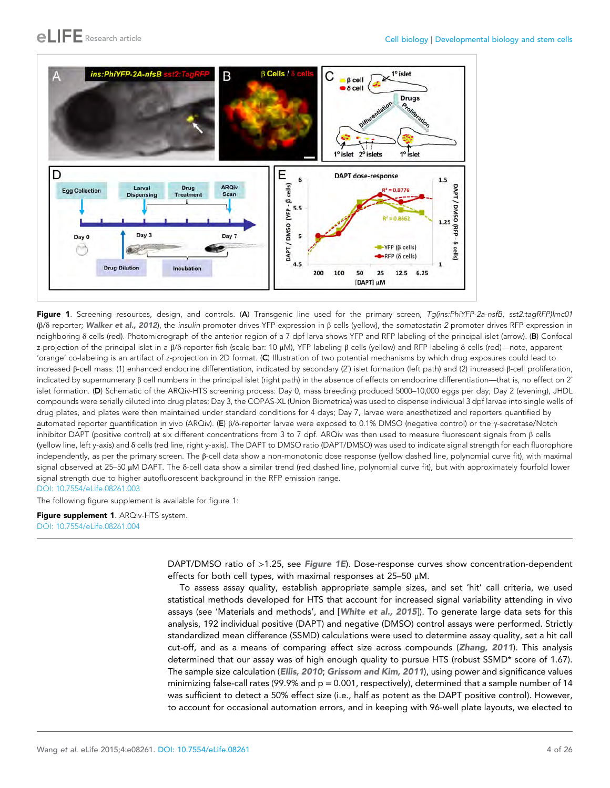<span id="page-3-0"></span>

Figure 1. Screening resources, design, and controls. (A) Transgenic line used for the primary screen, Tg(ins:PhiYFP-2a-nsfB, sst2:tagRFP)Imc01 (β/δ reporter; [Walker et al., 2012](#page-24-0)), the insulin promoter drives YFP-expression in  $β$  cells (yellow), the somatostatin 2 promoter drives RFP expression in neighboring δ cells (red). Photomicrograph of the anterior region of a 7 dpf larva shows YFP and RFP labeling of the principal islet (arrow). (B) Confocal z-projection of the principal islet in a β/δ-reporter fish (scale bar: 10 μM), YFP labeling β cells (yellow) and RFP labeling δ cells (red)—note, apparent 'orange' co-labeling is an artifact of z-projection in 2D format. (C) Illustration of two potential mechanisms by which drug exposures could lead to increased β-cell mass: (1) enhanced endocrine differentiation, indicated by secondary (2˚) islet formation (left path) and (2) increased β-cell proliferation, indicated by supernumerary  $\beta$  cell numbers in the principal islet (right path) in the absence of effects on endocrine differentiation—that is, no effect on  $2^{\circ}$ islet formation. (D) Schematic of the ARQiv-HTS screening process: Day 0, mass breeding produced 5000–10,000 eggs per day; Day 2 (evening), JHDL compounds were serially diluted into drug plates; Day 3, the COPAS-XL (Union Biometrica) was used to dispense individual 3 dpf larvae into single wells of drug plates, and plates were then maintained under standard conditions for 4 days; Day 7, larvae were anesthetized and reporters quantified by automated reporter quantification in vivo (ARQiv). (E) β/δ-reporter larvae were exposed to 0.1% DMSO (negative control) or the γ-secretase/Notch inhibitor DAPT (positive control) at six different concentrations from 3 to 7 dpf. ARQiv was then used to measure fluorescent signals from β cells (yellow line, left y-axis) and δ cells (red line, right y-axis). The DAPT to DMSO ratio (DAPT/DMSO) was used to indicate signal strength for each fluorophore independently, as per the primary screen. The β-cell data show a non-monotonic dose response (yellow dashed line, polynomial curve fit), with maximal signal observed at 25–50 μM DAPT. The δ-cell data show a similar trend (red dashed line, polynomial curve fit), but with approximately fourfold lower signal strength due to higher autofluorescent background in the RFP emission range. [DOI: 10.7554/eLife.08261.003](http://dx.doi.org/10.7554/eLife.08261.003)

The following figure supplement is available for figure 1:

Figure supplement 1. ARQiv-HTS system. [DOI: 10.7554/eLife.08261.004](http://dx.doi.org/10.7554/eLife.08261.004)

> DAPT/DMSO ratio of >1.25, see Figure 1E). Dose-response curves show concentration-dependent effects for both cell types, with maximal responses at 25–50 μM.

> To assess assay quality, establish appropriate sample sizes, and set 'hit' call criteria, we used statistical methods developed for HTS that account for increased signal variability attending in vivo assays (see 'Materials and methods', and [[White et al., 2015](#page-24-0)]). To generate large data sets for this analysis, 192 individual positive (DAPT) and negative (DMSO) control assays were performed. Strictly standardized mean difference (SSMD) calculations were used to determine assay quality, set a hit call cut-off, and as a means of comparing effect size across compounds ([Zhang, 2011](#page-25-0)). This analysis determined that our assay was of high enough quality to pursue HTS (robust SSMD\* score of 1.67). The sample size calculation ([Ellis, 2010](#page-22-0); [Grissom and Kim, 2011](#page-23-0)), using power and significance values minimizing false-call rates (99.9% and  $p = 0.001$ , respectively), determined that a sample number of 14 was sufficient to detect a 50% effect size (i.e., half as potent as the DAPT positive control). However, to account for occasional automation errors, and in keeping with 96-well plate layouts, we elected to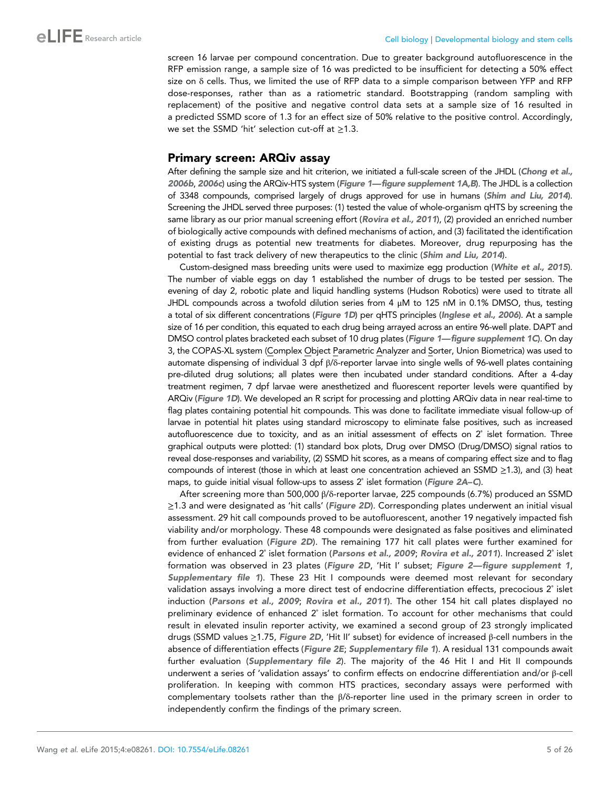screen 16 larvae per compound concentration. Due to greater background autofluorescence in the RFP emission range, a sample size of 16 was predicted to be insufficient for detecting a 50% effect size on δ cells. Thus, we limited the use of RFP data to a simple comparison between YFP and RFP dose-responses, rather than as a ratiometric standard. Bootstrapping (random sampling with replacement) of the positive and negative control data sets at a sample size of 16 resulted in a predicted SSMD score of 1.3 for an effect size of 50% relative to the positive control. Accordingly, we set the SSMD 'hit' selection cut-off at ≥1.3.

### Primary screen: ARQiv assay

After defining the sample size and hit criterion, we initiated a full-scale screen of the JHDL ([Chong et al.,](#page-22-0) [2006b](#page-22-0), [2006c](#page-22-0)) using the ARQiv-HTS system ([Figure 1](#page-3-0)—[figure supplement 1A,B](#page-3-0)). The JHDL is a collection of 3348 compounds, comprised largely of drugs approved for use in humans ([Shim and Liu, 2014](#page-24-0)). Screening the JHDL served three purposes: (1) tested the value of whole-organism qHTS by screening the same library as our prior manual screening effort ([Rovira et al., 2011](#page-24-0)), (2) provided an enriched number of biologically active compounds with defined mechanisms of action, and (3) facilitated the identification of existing drugs as potential new treatments for diabetes. Moreover, drug repurposing has the potential to fast track delivery of new therapeutics to the clinic ([Shim and Liu, 2014](#page-24-0)).

Custom-designed mass breeding units were used to maximize egg production ([White et al., 2015](#page-24-0)). The number of viable eggs on day 1 established the number of drugs to be tested per session. The evening of day 2, robotic plate and liquid handling systems (Hudson Robotics) were used to titrate all JHDL compounds across a twofold dilution series from 4 μM to 125 nM in 0.1% DMSO, thus, testing a total of six different concentrations ([Figure 1D](#page-3-0)) per qHTS principles ([Inglese et al., 2006](#page-23-0)). At a sample size of 16 per condition, this equated to each drug being arrayed across an entire 96-well plate. DAPT and DMSO control plates bracketed each subset of 10 drug plates ([Figure 1](#page-3-0)—[figure supplement 1C](#page-3-0)). On day 3, the COPAS-XL system (Complex Object Parametric Analyzer and Sorter, Union Biometrica) was used to automate dispensing of individual 3 dpf β/δ-reporter larvae into single wells of 96-well plates containing pre-diluted drug solutions; all plates were then incubated under standard conditions. After a 4-day treatment regimen, 7 dpf larvae were anesthetized and fluorescent reporter levels were quantified by ARQiv ([Figure 1D](#page-3-0)). We developed an R script for processing and plotting ARQiv data in near real-time to flag plates containing potential hit compounds. This was done to facilitate immediate visual follow-up of larvae in potential hit plates using standard microscopy to eliminate false positives, such as increased autofluorescence due to toxicity, and as an initial assessment of effects on 2˚ islet formation. Three graphical outputs were plotted: (1) standard box plots, Drug over DMSO (Drug/DMSO) signal ratios to reveal dose-responses and variability, (2) SSMD hit scores, as a means of comparing effect size and to flag compounds of interest (those in which at least one concentration achieved an SSMD ≥1.3), and (3) heat maps, to guide initial visual follow-ups to assess 2˚ islet formation ([Figure 2A](#page-5-0)–[C](#page-5-0)).

After screening more than 500,000 β/δ-reporter larvae, 225 compounds (6.7%) produced an SSMD  $\geq$ 1.3 and were designated as 'hit calls' ([Figure 2D](#page-5-0)). Corresponding plates underwent an initial visual assessment. 29 hit call compounds proved to be autofluorescent, another 19 negatively impacted fish viability and/or morphology. These 48 compounds were designated as false positives and eliminated from further evaluation ([Figure 2D](#page-5-0)). The remaining 177 hit call plates were further examined for evidence of enhanced 2° islet formation ([Parsons et al., 2009](#page-24-0); [Rovira et al., 2011](#page-24-0)). Increased 2° islet formation was observed in 23 plates ([Figure 2D](#page-5-0), 'Hit I' subset; [Figure 2—figure supplement 1](#page-5-0), [Supplementary file 1](#page-21-0)). These 23 Hit I compounds were deemed most relevant for secondary validation assays involving a more direct test of endocrine differentiation effects, precocious 2° islet induction ([Parsons et al., 2009](#page-24-0); [Rovira et al., 2011](#page-24-0)). The other 154 hit call plates displayed no preliminary evidence of enhanced 2˚ islet formation. To account for other mechanisms that could result in elevated insulin reporter activity, we examined a second group of 23 strongly implicated drugs (SSMD values ≥1.75, [Figure 2D](#page-5-0), 'Hit II' subset) for evidence of increased β-cell numbers in the absence of differentiation effects ([Figure 2E](#page-5-0); [Supplementary file 1](#page-21-0)). A residual 131 compounds await further evaluation ([Supplementary file 2](#page-22-0)). The majority of the 46 Hit I and Hit II compounds underwent a series of 'validation assays' to confirm effects on endocrine differentiation and/or β-cell proliferation. In keeping with common HTS practices, secondary assays were performed with complementary toolsets rather than the β/δ-reporter line used in the primary screen in order to independently confirm the findings of the primary screen.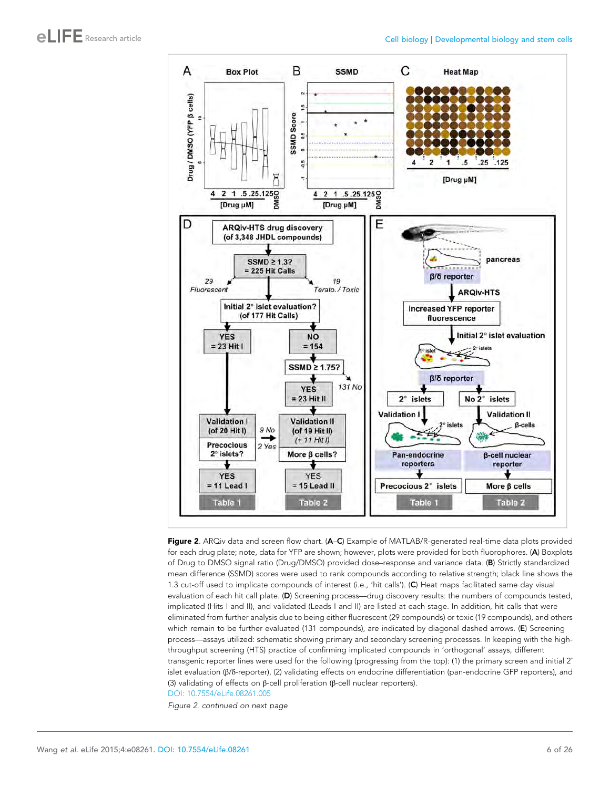<span id="page-5-0"></span>

Figure 2. ARQiv data and screen flow chart. (A–C) Example of MATLAB/R-generated real-time data plots provided for each drug plate; note, data for YFP are shown; however, plots were provided for both fluorophores. (A) Boxplots of Drug to DMSO signal ratio (Drug/DMSO) provided dose–response and variance data. (B) Strictly standardized mean difference (SSMD) scores were used to rank compounds according to relative strength; black line shows the 1.3 cut-off used to implicate compounds of interest (i.e., 'hit calls'). (C) Heat maps facilitated same day visual evaluation of each hit call plate. (D) Screening process—drug discovery results: the numbers of compounds tested, implicated (Hits I and II), and validated (Leads I and II) are listed at each stage. In addition, hit calls that were eliminated from further analysis due to being either fluorescent (29 compounds) or toxic (19 compounds), and others which remain to be further evaluated (131 compounds), are indicated by diagonal dashed arrows. (E) Screening process—assays utilized: schematic showing primary and secondary screening processes. In keeping with the highthroughput screening (HTS) practice of confirming implicated compounds in 'orthogonal' assays, different transgenic reporter lines were used for the following (progressing from the top): (1) the primary screen and initial 2° islet evaluation (β/δ-reporter), (2) validating effects on endocrine differentiation (pan-endocrine GFP reporters), and (3) validating of effects on β-cell proliferation (β-cell nuclear reporters). [DOI: 10.7554/eLife.08261.005](http://dx.doi.org/10.7554/eLife.08261.005)

Figure 2. continued on next page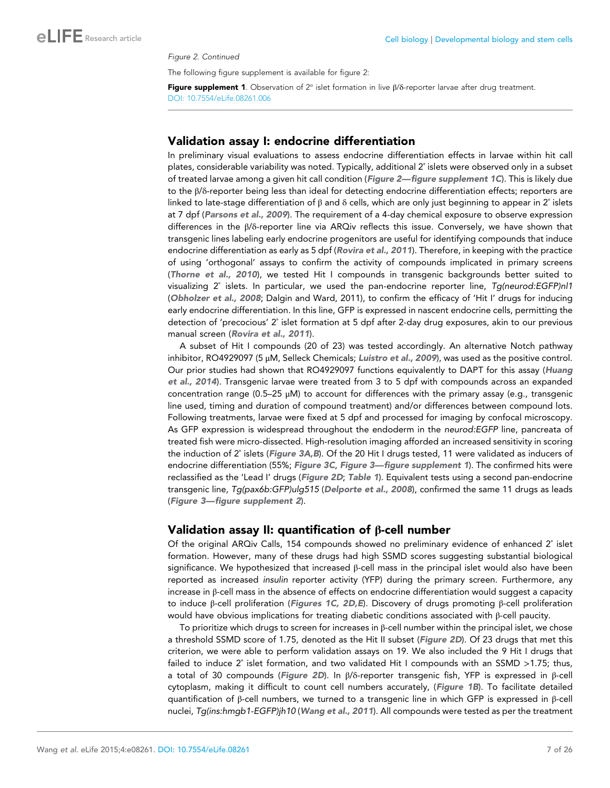#### Figure 2. Continued

The following figure supplement is available for figure 2:

Figure supplement 1. Observation of  $2^{\circ}$  islet formation in live  $\beta/\delta$ -reporter larvae after drug treatment. [DOI: 10.7554/eLife.08261.006](http://dx.doi.org/10.7554/eLife.08261.006)

#### Validation assay I: endocrine differentiation

In preliminary visual evaluations to assess endocrine differentiation effects in larvae within hit call plates, considerable variability was noted. Typically, additional 2˚ islets were observed only in a subset of treated larvae among a given hit call condition ([Figure 2](#page-5-0)—[figure supplement 1C](#page-5-0)). This is likely due to the β/δ-reporter being less than ideal for detecting endocrine differentiation effects; reporters are linked to late-stage differentiation of β and δ cells, which are only just beginning to appear in 2˚ islets at 7 dpf ([Parsons et al., 2009](#page-24-0)). The requirement of a 4-day chemical exposure to observe expression differences in the β/δ-reporter line via ARQiv reflects this issue. Conversely, we have shown that transgenic lines labeling early endocrine progenitors are useful for identifying compounds that induce endocrine differentiation as early as 5 dpf ([Rovira et al., 2011](#page-24-0)). Therefore, in keeping with the practice of using 'orthogonal' assays to confirm the activity of compounds implicated in primary screens ([Thorne et al., 2010](#page-24-0)), we tested Hit I compounds in transgenic backgrounds better suited to visualizing 2˚ islets. In particular, we used the pan-endocrine reporter line, Tg(neurod:EGFP)nl1 ([Obholzer et al., 2008](#page-23-0); Dalgin and Ward, 2011), to confirm the efficacy of 'Hit I' drugs for inducing early endocrine differentiation. In this line, GFP is expressed in nascent endocrine cells, permitting the detection of 'precocious' 2˚ islet formation at 5 dpf after 2-day drug exposures, akin to our previous manual screen ([Rovira et al., 2011](#page-24-0)).

A subset of Hit I compounds (20 of 23) was tested accordingly. An alternative Notch pathway inhibitor, RO4929097 (5 μM, Selleck Chemicals; [Luistro et al., 2009](#page-23-0)), was used as the positive control. Our prior studies had shown that RO4929097 functions equivalently to DAPT for this assay ([Huang](#page-23-0) [et al., 2014](#page-23-0)). Transgenic larvae were treated from 3 to 5 dpf with compounds across an expanded concentration range (0.5–25 μM) to account for differences with the primary assay (e.g., transgenic line used, timing and duration of compound treatment) and/or differences between compound lots. Following treatments, larvae were fixed at 5 dpf and processed for imaging by confocal microscopy. As GFP expression is widespread throughout the endoderm in the neurod:EGFP line, pancreata of treated fish were micro-dissected. High-resolution imaging afforded an increased sensitivity in scoring the induction of 2° islets ([Figure 3A,B](#page-7-0)). Of the 20 Hit I drugs tested, 11 were validated as inducers of endocrine differentiation (55%; [Figure 3C](#page-7-0), [Figure 3](#page-7-0)-[figure supplement 1](#page-7-0)). The confirmed hits were reclassified as the 'Lead I' drugs ([Figure 2D](#page-5-0); [Table 1](#page-8-0)). Equivalent tests using a second pan-endocrine transgenic line, Tg(pax6b:GFP)ulg515 ([Delporte et al., 2008](#page-22-0)), confirmed the same 11 drugs as leads ([Figure 3—figure supplement 2](#page-7-0)).

#### Validation assay II: quantification of β-cell number

Of the original ARQiv Calls, 154 compounds showed no preliminary evidence of enhanced 2˚ islet formation. However, many of these drugs had high SSMD scores suggesting substantial biological significance. We hypothesized that increased β-cell mass in the principal islet would also have been reported as increased insulin reporter activity (YFP) during the primary screen. Furthermore, any increase in β-cell mass in the absence of effects on endocrine differentiation would suggest a capacity to induce β-cell proliferation ([Figures 1C, 2D,E](#page-3-0)). Discovery of drugs promoting β-cell proliferation would have obvious implications for treating diabetic conditions associated with β-cell paucity.

To prioritize which drugs to screen for increases in  $\beta$ -cell number within the principal islet, we chose a threshold SSMD score of 1.75, denoted as the Hit II subset ([Figure 2D](#page-5-0)). Of 23 drugs that met this criterion, we were able to perform validation assays on 19. We also included the 9 Hit I drugs that failed to induce 2° islet formation, and two validated Hit I compounds with an SSMD >1.75; thus, a total of 30 compounds ([Figure 2D](#page-5-0)). In β/δ-reporter transgenic fish, YFP is expressed in β-cell cytoplasm, making it difficult to count cell numbers accurately, ([Figure 1B](#page-3-0)). To facilitate detailed quantification of β-cell numbers, we turned to a transgenic line in which GFP is expressed in β-cell nuclei, Tg(ins:hmgb1-EGFP)jh10 ([Wang et al., 2011](#page-24-0)). All compounds were tested as per the treatment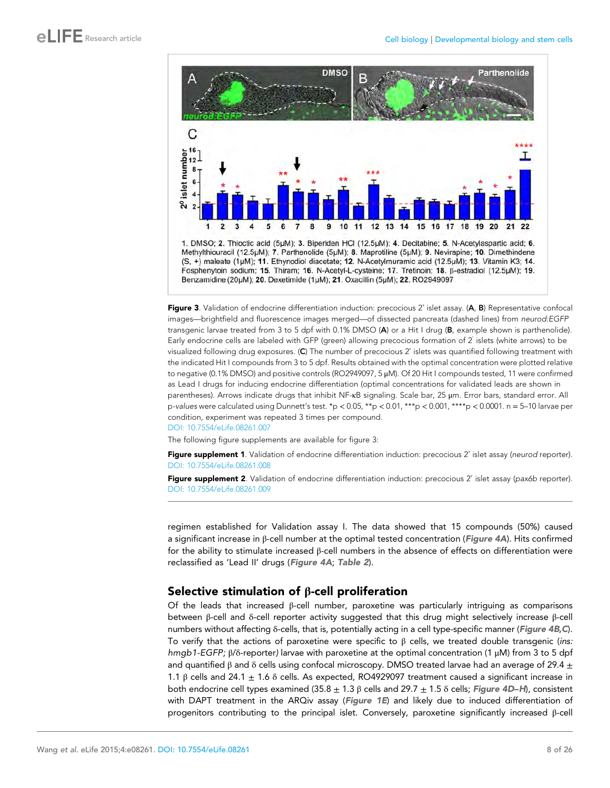<span id="page-7-0"></span>

Figure 3. Validation of endocrine differentiation induction: precocious 2° islet assay. (A, B) Representative confocal images—brightfield and fluorescence images merged—of dissected pancreata (dashed lines) from neurod:EGFP transgenic larvae treated from 3 to 5 dpf with 0.1% DMSO (A) or a Hit I drug (B, example shown is parthenolide). Early endocrine cells are labeled with GFP (green) allowing precocious formation of 2˚ islets (white arrows) to be visualized following drug exposures. (C) The number of precocious 2˚ islets was quantified following treatment with the indicated Hit I compounds from 3 to 5 dpf. Results obtained with the optimal concentration were plotted relative to negative (0.1% DMSO) and positive controls (RO2949097, 5 μM). Of 20 Hit I compounds tested, 11 were confirmed as Lead I drugs for inducing endocrine differentiation (optimal concentrations for validated leads are shown in parentheses). Arrows indicate drugs that inhibit NF-κB signaling. Scale bar, 25 μm. Error bars, standard error. All p-values were calculated using Dunnett's test. \*p < 0.05, \*\*p < 0.01, \*\*\*p < 0.001, \*\*\*\*p < 0.0001. n = 5–10 larvae per condition, experiment was repeated 3 times per compound. [DOI: 10.7554/eLife.08261.007](http://dx.doi.org/10.7554/eLife.08261.007)

The following figure supplements are available for figure 3:

Figure supplement 1. Validation of endocrine differentiation induction: precocious 2° islet assay (neurod reporter). [DOI: 10.7554/eLife.08261.008](http://dx.doi.org/10.7554/eLife.08261.008)

Figure supplement 2. Validation of endocrine differentiation induction: precocious 2° islet assay (pax6b reporter). [DOI: 10.7554/eLife.08261.009](http://dx.doi.org/10.7554/eLife.08261.009)

regimen established for Validation assay I. The data showed that 15 compounds (50%) caused a significant increase in β-cell number at the optimal tested concentration ([Figure 4A](#page-9-0)). Hits confirmed for the ability to stimulate increased β-cell numbers in the absence of effects on differentiation were reclassified as 'Lead II' drugs ([Figure 4A](#page-9-0); [Table 2](#page-11-0)).

### Selective stimulation of β-cell proliferation

Of the leads that increased β-cell number, paroxetine was particularly intriguing as comparisons between β-cell and δ-cell reporter activity suggested that this drug might selectively increase β-cell numbers without affecting δ-cells, that is, potentially acting in a cell type-specific manner ([Figure 4B,C](#page-9-0)). To verify that the actions of paroxetine were specific to  $\beta$  cells, we treated double transgenic (ins: hmgb1-EGFP; β/δ-reporter) larvae with paroxetine at the optimal concentration (1 μM) from 3 to 5 dpf and quantified β and δ cells using confocal microscopy. DMSO treated larvae had an average of 29.4  $\pm$ 1.1 β cells and 24.1  $\pm$  1.6 δ cells. As expected, RO4929097 treatment caused a significant increase in both endocrine cell types examined (35.8  $\pm$  1.3 β cells and 29.7  $\pm$  1.5 δ cells; [Figure 4D](#page-9-0)–[H](#page-9-0)), consistent with DAPT treatment in the ARQiv assay ([Figure 1E](#page-3-0)) and likely due to induced differentiation of progenitors contributing to the principal islet. Conversely, paroxetine significantly increased β-cell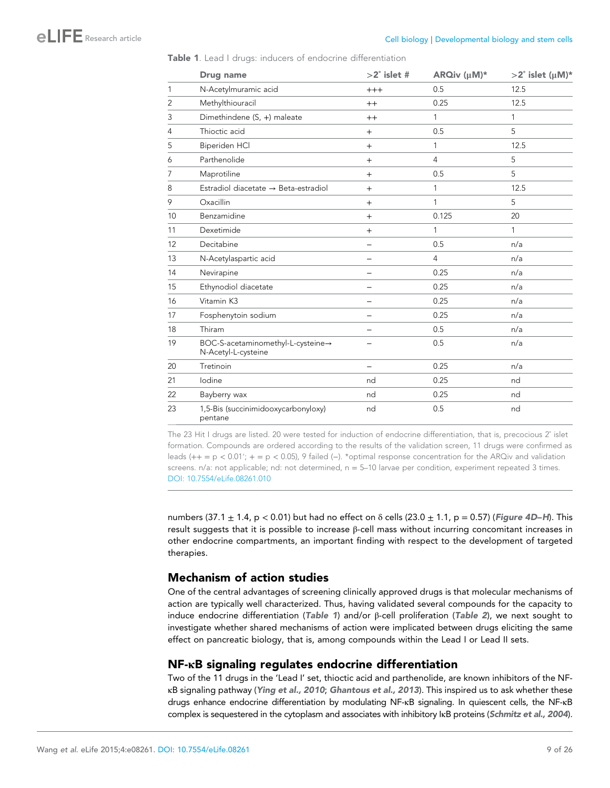|    | Drug name                                                | $>2^\circ$ islet #       | ARQiv (µM)*    | $>2^\circ$ islet (µM)* |
|----|----------------------------------------------------------|--------------------------|----------------|------------------------|
| 1  | N-Acetylmuramic acid                                     | $+++$                    | 0.5            | 12.5                   |
| 2  | Methylthiouracil                                         | $^{++}$                  | 0.25           | 12.5                   |
| 3  | Dimethindene (S, +) maleate                              | $^{++}$                  | 1              | 1                      |
| 4  | Thioctic acid                                            | $+$                      | 0.5            | 5                      |
| 5  | Biperiden HCl                                            | $+$                      | 1              | 12.5                   |
| 6  | Parthenolide                                             | $+$                      | $\overline{4}$ | 5                      |
| 7  | Maprotiline                                              | $^{+}$                   | 0.5            | 5                      |
| 8  | Estradiol diacetate → Beta-estradiol                     | $^{+}$                   | 1              | 12.5                   |
| 9  | Oxacillin                                                | $^{+}$                   | 1              | 5                      |
| 10 | Benzamidine                                              | $+$                      | 0.125          | 20                     |
| 11 | Dexetimide                                               | $+$                      | 1              | 1                      |
| 12 | Decitabine                                               |                          | 0.5            | n/a                    |
| 13 | N-Acetylaspartic acid                                    | <u>.</u>                 | 4              | n/a                    |
| 14 | Nevirapine                                               |                          | 0.25           | n/a                    |
| 15 | Ethynodiol diacetate                                     |                          | 0.25           | n/a                    |
| 16 | Vitamin K3                                               |                          | 0.25           | n/a                    |
| 17 | Fosphenytoin sodium                                      | $\overline{\phantom{0}}$ | 0.25           | n/a                    |
| 18 | Thiram                                                   |                          | 0.5            | n/a                    |
| 19 | BOC-S-acetaminomethyl-L-cysteine→<br>N-Acetyl-L-cysteine |                          | 0.5            | n/a                    |
| 20 | Tretinoin                                                |                          | 0.25           | n/a                    |
| 21 | lodine                                                   | nd                       | 0.25           | nd                     |
| 22 | Bayberry wax                                             | nd                       | 0.25           | nd                     |
| 23 | 1,5-Bis (succinimidooxycarbonyloxy)<br>pentane           | nd                       | 0.5            | nd                     |

<span id="page-8-0"></span>Table 1. Lead I drugs: inducers of endocrine differentiation

The 23 Hit I drugs are listed. 20 were tested for induction of endocrine differentiation, that is, precocious 2° islet formation. Compounds are ordered according to the results of the validation screen, 11 drugs were confirmed as leads (++ = p < 0.01′; + = p < 0.05), 9 failed (−). \*optimal response concentration for the ARQiv and validation screens.  $n/a$ : not applicable; nd: not determined,  $n = 5$ –10 larvae per condition, experiment repeated 3 times. [DOI: 10.7554/eLife.08261.010](http://dx.doi.org/10.7554/eLife.08261.010)

numbers (37.1  $\pm$  1.4, p < 0.01) but had no effect on  $\delta$  cells (23.0  $\pm$  1.1, p = 0.57) ([Figure 4D](#page-9-0)–[H](#page-9-0)). This result suggests that it is possible to increase β-cell mass without incurring concomitant increases in other endocrine compartments, an important finding with respect to the development of targeted therapies.

### Mechanism of action studies

One of the central advantages of screening clinically approved drugs is that molecular mechanisms of action are typically well characterized. Thus, having validated several compounds for the capacity to induce endocrine differentiation (Table 1) and/or β-cell proliferation ([Table 2](#page-11-0)), we next sought to investigate whether shared mechanisms of action were implicated between drugs eliciting the same effect on pancreatic biology, that is, among compounds within the Lead I or Lead II sets.

### NF-κB signaling regulates endocrine differentiation

Two of the 11 drugs in the 'Lead I' set, thioctic acid and parthenolide, are known inhibitors of the NFκB signaling pathway ([Ying et al., 2010](#page-25-0); [Ghantous et al., 2013](#page-22-0)). This inspired us to ask whether these drugs enhance endocrine differentiation by modulating NF-κB signaling. In quiescent cells, the NF-κB complex is sequestered in the cytoplasm and associates with inhibitory IκB proteins ([Schmitz et al., 2004](#page-24-0)).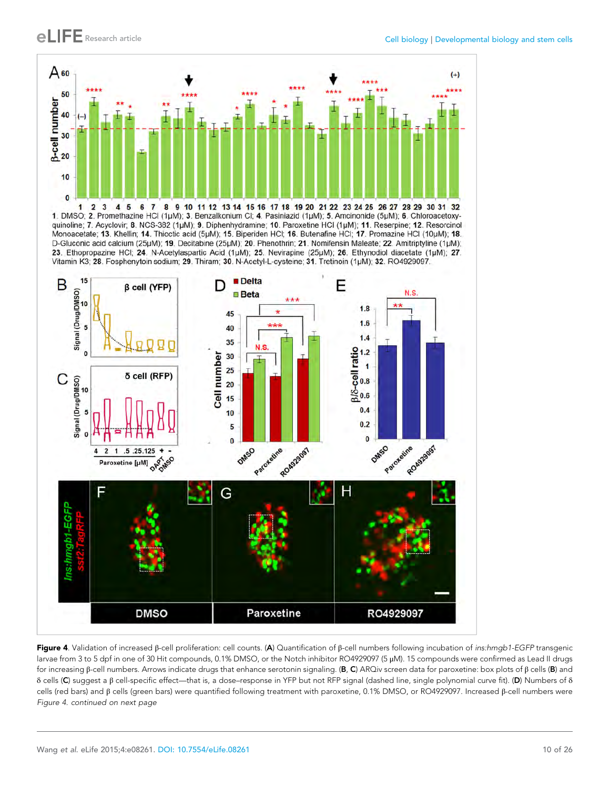<span id="page-9-0"></span>

1. DMSO; 2. Promethazine HCl (1µM); 3. Benzalkonium Cl; 4. Pasiniazid (1µM); 5. Amcinonide (5µM); 6. Chloroacetoxyquinoline; 7. Acyclovir; 8. NCS-382 (1µM); 9. Diphenhydramine; 10. Paroxetine HCl (1µM); 11. Reserpine; 12. Resorcinol Monoacetate; 13. Khellin; 14. Thioctic acid (5µM); 15. Biperiden HCl; 16. Butenafine HCl; 17. Promazine HCl (10µM); 18. D-Gluconic acid calcium (25µM); 19. Decitabine (25µM); 20. Phenothrin; 21. Nomifensin Maleate; 22. Amitriptyline (1µM); 23. Ethopropazine HCl; 24. N-Acetylaspartic Acid (1µM); 25. Nevirapine (25µM); 26. Ethynodiol diacetate (1µM); 27. Vitamin K3; 28. Fosphenytoin sodium; 29. Thiram; 30. N-Acetyl-L-cysteine; 31. Tretinoin (1µM); 32. RO4929097.



Figure 4. Validation of increased β-cell proliferation: cell counts. (A) Quantification of β-cell numbers following incubation of *ins:hmgb1-EGFP* transgenic larvae from 3 to 5 dpf in one of 30 Hit compounds, 0.1% DMSO, or the Notch inhibitor RO4929097 (5 μM). 15 compounds were confirmed as Lead II drugs for increasing β-cell numbers. Arrows indicate drugs that enhance serotonin signaling. (B, C) ARQiv screen data for paroxetine: box plots of β cells (B) and δ cells (C) suggest a β cell-specific effect—that is, a dose–response in YFP but not RFP signal (dashed line, single polynomial curve fit). (D) Numbers of δ cells (red bars) and β cells (green bars) were quantified following treatment with paroxetine, 0.1% DMSO, or RO4929097. Increased β-cell numbers were Figure 4. continued on next page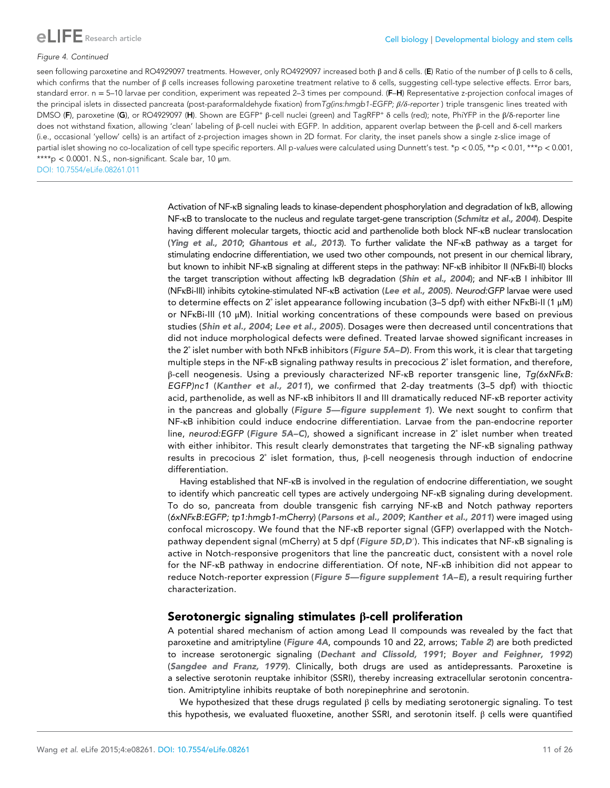

#### Figure 4. Continued

seen following paroxetine and RO4929097 treatments. However, only RO4929097 increased both β and δ cells. (E) Ratio of the number of β cells to δ cells, which confirms that the number of  $\beta$  cells increases following paroxetine treatment relative to  $\delta$  cells, suggesting cell-type selective effects. Error bars, standard error. n = 5-10 larvae per condition, experiment was repeated 2-3 times per compound. (F-H) Representative z-projection confocal images of the principal islets in dissected pancreata (post-paraformaldehyde fixation) fromTg(ins:hmgb1-EGFP; β/δ-reporter) triple transgenic lines treated with DMSO (F), paroxetine (G), or RO4929097 (H). Shown are EGFP<sup>+</sup> β-cell nuclei (green) and TagRFP<sup>+</sup> δ cells (red); note, PhiYFP in the β/δ-reporter line does not withstand fixation, allowing 'clean' labeling of β-cell nuclei with EGFP. In addition, apparent overlap between the β-cell and δ-cell markers (i.e., occasional 'yellow' cells) is an artifact of z-projection images shown in 2D format. For clarity, the inset panels show a single z-slice image of partial islet showing no co-localization of cell type specific reporters. All p-values were calculated using Dunnett's test. \*p < 0.05, \*\*p < 0.01, \*\*\*p < 0.001, \*\*\*\*p < 0.0001. N.S., non-significant. Scale bar, 10 μm.

[DOI: 10.7554/eLife.08261.011](http://dx.doi.org/10.7554/eLife.08261.011)

Activation of NF-κB signaling leads to kinase-dependent phosphorylation and degradation of IκB, allowing NF-KB to translocate to the nucleus and regulate target-gene transcription ([Schmitz et al., 2004](#page-24-0)). Despite having different molecular targets, thioctic acid and parthenolide both block NF-κB nuclear translocation ([Ying et al., 2010](#page-25-0); [Ghantous et al., 2013](#page-22-0)). To further validate the NF-κB pathway as a target for stimulating endocrine differentiation, we used two other compounds, not present in our chemical library, but known to inhibit NF-κB signaling at different steps in the pathway: NF-κB inhibitor II (NFκBi-II) blocks the target transcription without affecting IκB degradation ([Shin et al., 2004](#page-24-0)); and NF-κB I inhibitor III (NFκBi-III) inhibits cytokine-stimulated NF-κB activation ([Lee et al., 2005](#page-23-0)). Neurod:GFP larvae were used to determine effects on 2˚ islet appearance following incubation (3–5 dpf) with either NFκBi-II (1 μM) or NFκBi-III (10 μM). Initial working concentrations of these compounds were based on previous studies ([Shin et al., 2004](#page-24-0); [Lee et al., 2005](#page-23-0)). Dosages were then decreased until concentrations that did not induce morphological defects were defined. Treated larvae showed significant increases in the 2° islet number with both NFKB inhibitors ([Figure 5A–D](#page-12-0)). From this work, it is clear that targeting multiple steps in the NF-κB signaling pathway results in precocious 2˚ islet formation, and therefore, β-cell neogenesis. Using a previously characterized NF-κB reporter transgenic line, Tg(6xNFκB: EGFP)nc1 ([Kanther et al., 2011](#page-23-0)), we confirmed that 2-day treatments (3–5 dpf) with thioctic acid, parthenolide, as well as NF-κB inhibitors II and III dramatically reduced NF-κB reporter activity in the pancreas and globally ([Figure 5](#page-12-0)-[figure supplement 1](#page-12-0)). We next sought to confirm that NF-κB inhibition could induce endocrine differentiation. Larvae from the pan-endocrine reporter line, neurod:EGFP ([Figure 5A](#page-12-0)–[C](#page-12-0)), showed a significant increase in 2° islet number when treated with either inhibitor. This result clearly demonstrates that targeting the NF-κB signaling pathway results in precocious 2˚ islet formation, thus, β-cell neogenesis through induction of endocrine differentiation.

Having established that NF-κB is involved in the regulation of endocrine differentiation, we sought to identify which pancreatic cell types are actively undergoing NF-κB signaling during development. To do so, pancreata from double transgenic fish carrying NF-κB and Notch pathway reporters (6xNFκB:EGFP; tp1:hmgb1-mCherry) ([Parsons et al., 2009](#page-24-0); [Kanther et al., 2011](#page-23-0)) were imaged using confocal microscopy. We found that the NF-κB reporter signal (GFP) overlapped with the Notchpathway dependent signal (mCherry) at 5 dpf ([Figure 5D,D](#page-12-0)′). This indicates that NF-κB signaling is active in Notch-responsive progenitors that line the pancreatic duct, consistent with a novel role for the NF-κB pathway in endocrine differentiation. Of note, NF-κB inhibition did not appear to reduce Notch-reporter expression ([Figure 5](#page-12-0)—[figure supplement 1A](#page-12-0)–[E](#page-12-0)), a result requiring further characterization.

### Serotonergic signaling stimulates β-cell proliferation

A potential shared mechanism of action among Lead II compounds was revealed by the fact that paroxetine and amitriptyline ([Figure 4A](#page-9-0), compounds 10 and 22, arrows; [Table 2](#page-11-0)) are both predicted to increase serotonergic signaling ([Dechant and Clissold, 1991](#page-22-0); [Boyer and Feighner, 1992](#page-22-0)) ([Sangdee and Franz, 1979](#page-24-0)). Clinically, both drugs are used as antidepressants. Paroxetine is a selective serotonin reuptake inhibitor (SSRI), thereby increasing extracellular serotonin concentration. Amitriptyline inhibits reuptake of both norepinephrine and serotonin.

We hypothesized that these drugs regulated  $\beta$  cells by mediating serotonergic signaling. To test this hypothesis, we evaluated fluoxetine, another SSRI, and serotonin itself. β cells were quantified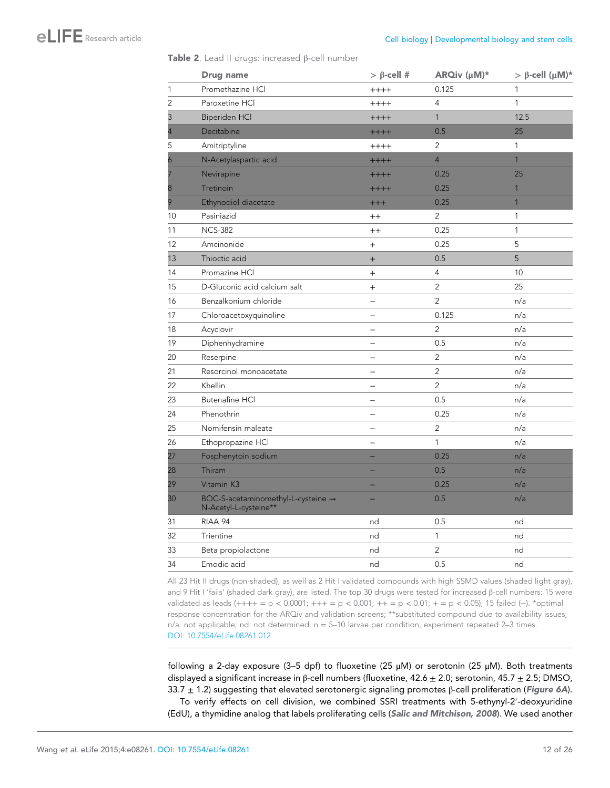#### <span id="page-11-0"></span>Table 2. Lead II drugs: increased β-cell number

|                | Drug name                                                   | $> \beta$ -cell #        | ARQiv (µM)*    | $> \beta$ -cell (µM)* |
|----------------|-------------------------------------------------------------|--------------------------|----------------|-----------------------|
| $\mathbf{1}$   | Promethazine HCl                                            | $+++++$                  | 0.125          | $\mathbf{1}$          |
| $\overline{2}$ | Paroxetine HCI                                              | $+++++$                  | $\overline{4}$ | $\mathbf{1}$          |
| 3              | <b>Biperiden HCI</b>                                        | $+++++$                  | $\mathbf{1}$   | 12.5                  |
|                | Decitabine                                                  | $+++++$                  | 0.5            | 25                    |
| 5              | Amitriptyline                                               | $++++$                   | 2              | 1                     |
| 6              | N-Acetylaspartic acid                                       | $++++$                   | $\overline{4}$ | $\mathbf{1}$          |
|                | Nevirapine                                                  | $+++++$                  | 0.25           | 25                    |
| 8              | Tretinoin                                                   | $+++++$                  | 0.25           | $\mathbf{1}$          |
| 9              | Ethynodiol diacetate                                        | $++++$                   | 0.25           | $\mathbf{1}$          |
| 10             | Pasiniazid                                                  | $^{++}$                  | $\overline{2}$ | $\mathbf{1}$          |
| 11             | <b>NCS-382</b>                                              | $^{++}$                  | 0.25           | $\mathbf{1}$          |
| 12             | Amcinonide                                                  | $^{+}$                   | 0.25           | 5                     |
| 13             | Thioctic acid                                               | $^{+}$                   | 0.5            | $\overline{5}$        |
| 14             | Promazine HCI                                               | $\ddot{}$                | 4              | 10                    |
| 15             | D-Gluconic acid calcium salt                                | $\ddot{}$                | $\overline{2}$ | 25                    |
| 16             | Benzalkonium chloride                                       | $\equiv$                 | $\overline{2}$ | n/a                   |
| 17             | Chloroacetoxyquinoline                                      | $\equiv$                 | 0.125          | n/a                   |
| 18             | Acyclovir                                                   |                          | $\overline{2}$ | n/a                   |
| 19             | Diphenhydramine                                             | $\overline{\phantom{0}}$ | 0.5            | n/a                   |
| 20             | Reserpine                                                   | $\equiv$                 | $\overline{2}$ | n/a                   |
| 21             | Resorcinol monoacetate                                      |                          | $\overline{2}$ | n/a                   |
| 22             | Khellin                                                     | $\overline{\phantom{0}}$ | $\overline{2}$ | n/a                   |
| 23             | <b>Butenafine HCI</b>                                       | $\overline{\phantom{0}}$ | 0.5            | n/a                   |
| 24             | Phenothrin                                                  | $\overline{\phantom{0}}$ | 0.25           | n/a                   |
| 25             | Nomifensin maleate                                          |                          | $\overline{2}$ | n/a                   |
| 26             | Ethopropazine HCl                                           | $\overline{\phantom{0}}$ | $\mathbf{1}$   | n/a                   |
| 27             | Fosphenytoin sodium                                         |                          | 0.25           | n/a                   |
| 28             | Thiram                                                      |                          | 0.5            | n/a                   |
| 29             | Vitamin K3                                                  |                          | 0.25           | n/a                   |
| 30             | BOC-S-acetaminomethyl-L-cysteine →<br>N-Acetyl-L-cysteine** |                          | 0.5            | n/a                   |
| 31             | RIAA 94                                                     | nd                       | 0.5            | nd                    |
| 32             | Trientine                                                   | nd                       | $\mathbf{1}$   | nd                    |
| 33             | Beta propiolactone                                          | nd                       | $\overline{c}$ | nd                    |
| 34             | Emodic acid                                                 | nd                       | 0.5            | nd                    |

All 23 Hit II drugs (non-shaded), as well as 2 Hit I validated compounds with high SSMD values (shaded light gray), and 9 Hit I 'fails' (shaded dark gray), are listed. The top 30 drugs were tested for increased β-cell numbers: 15 were validated as leads (++++ = p < 0.0001; +++ = p < 0.001; ++ = p < 0.01; + = p < 0.05), 15 failed (−). \*optimal response concentration for the ARQiv and validation screens; \*\*substituted compound due to availability issues;  $n/a$ : not applicable; nd: not determined.  $n = 5-10$  larvae per condition, experiment repeated 2-3 times. [DOI: 10.7554/eLife.08261.012](http://dx.doi.org/10.7554/eLife.08261.012)

following a 2-day exposure (3–5 dpf) to fluoxetine (25  $\mu$ M) or serotonin (25  $\mu$ M). Both treatments displayed a significant increase in β-cell numbers (fluoxetine,  $42.6 \pm 2.0$ ; serotonin,  $45.7 \pm 2.5$ ; DMSO, 33.7  $\pm$  1.2) suggesting that elevated serotonergic signaling promotes β-cell proliferation ([Figure 6A](#page-13-0)).

To verify effects on cell division, we combined SSRI treatments with 5-ethynyl-2′-deoxyuridine (EdU), a thymidine analog that labels proliferating cells ([Salic and Mitchison, 2008](#page-24-0)). We used another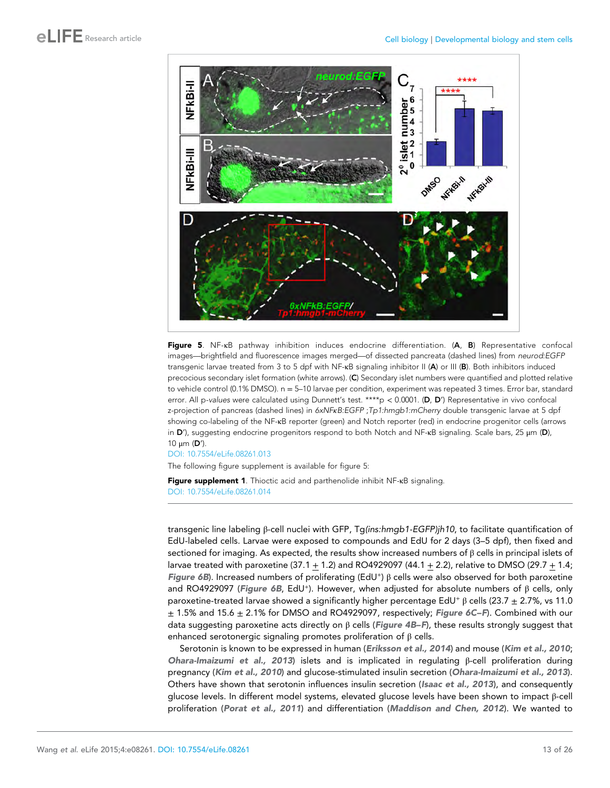<span id="page-12-0"></span>



[DOI: 10.7554/eLife.08261.013](http://dx.doi.org/10.7554/eLife.08261.013)

The following figure supplement is available for figure 5:

Figure supplement 1. Thioctic acid and parthenolide inhibit NF-κB signaling. [DOI: 10.7554/eLife.08261.014](http://dx.doi.org/10.7554/eLife.08261.014)

transgenic line labeling β-cell nuclei with GFP, Tg(ins:hmgb1-EGFP)jh10, to facilitate quantification of EdU-labeled cells. Larvae were exposed to compounds and EdU for 2 days (3–5 dpf), then fixed and sectioned for imaging. As expected, the results show increased numbers of β cells in principal islets of larvae treated with paroxetine  $(37.1 + 1.2)$  and RO4929097  $(44.1 + 2.2)$ , relative to DMSO  $(29.7 + 1.4)$ ; [Figure 6B](#page-13-0)). Increased numbers of proliferating (EdU<sup>+</sup>) β cells were also observed for both paroxetine and RO4929097 ([Figure 6B](#page-13-0), EdU<sup>+</sup>). However, when adjusted for absolute numbers of β cells, only paroxetine-treated larvae showed a significantly higher percentage EdU<sup>+</sup> β cells (23.7  $\pm$  2.7%, vs 11.0  $± 1.5%$  and 15.6  $± 2.1%$  for DMSO and RO4929097, respectively; Figure 6C-F). Combined with our data suggesting paroxetine acts directly on  $\beta$  cells ([Figure 4B–F](#page-9-0)), these results strongly suggest that enhanced serotonergic signaling promotes proliferation of  $\beta$  cells.

Serotonin is known to be expressed in human ([Eriksson et al., 2014](#page-22-0)) and mouse ([Kim et al., 2010](#page-23-0); [Ohara-Imaizumi et al., 2013](#page-23-0)) islets and is implicated in regulating β-cell proliferation during pregnancy ([Kim et al., 2010](#page-23-0)) and glucose-stimulated insulin secretion ([Ohara-Imaizumi et al., 2013](#page-23-0)). Others have shown that serotonin influences insulin secretion ([Isaac et al., 2013](#page-23-0)), and consequently glucose levels. In different model systems, elevated glucose levels have been shown to impact β-cell proliferation ([Porat et al., 2011](#page-24-0)) and differentiation ([Maddison and Chen, 2012](#page-23-0)). We wanted to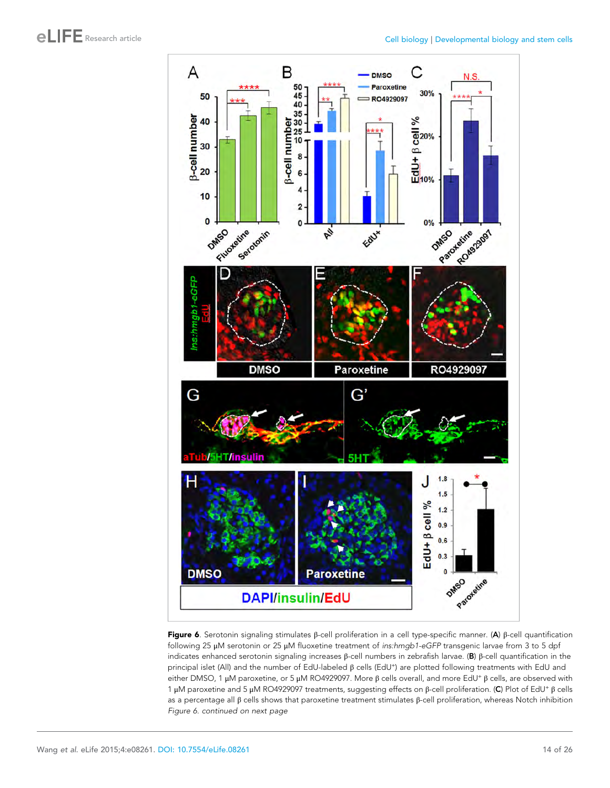<span id="page-13-0"></span>

Figure 6. Serotonin signaling stimulates β-cell proliferation in a cell type-specific manner. (A) β-cell quantification following 25 μM serotonin or 25 μM fluoxetine treatment of ins:hmgb1-eGFP transgenic larvae from 3 to 5 dpf indicates enhanced serotonin signaling increases β-cell numbers in zebrafish larvae. (B) β-cell quantification in the principal islet (All) and the number of EdU-labeled β cells (EdU<sup>+</sup>) are plotted following treatments with EdU and either DMSO, 1 μM paroxetine, or 5 μM RO4929097. More β cells overall, and more EdU<sup>+</sup> β cells, are observed with 1 μM paroxetine and 5 μM RO4929097 treatments, suggesting effects on β-cell proliferation. (C) Plot of EdU<sup>+</sup> β cells as a percentage all β cells shows that paroxetine treatment stimulates β-cell proliferation, whereas Notch inhibition Figure 6. continued on next page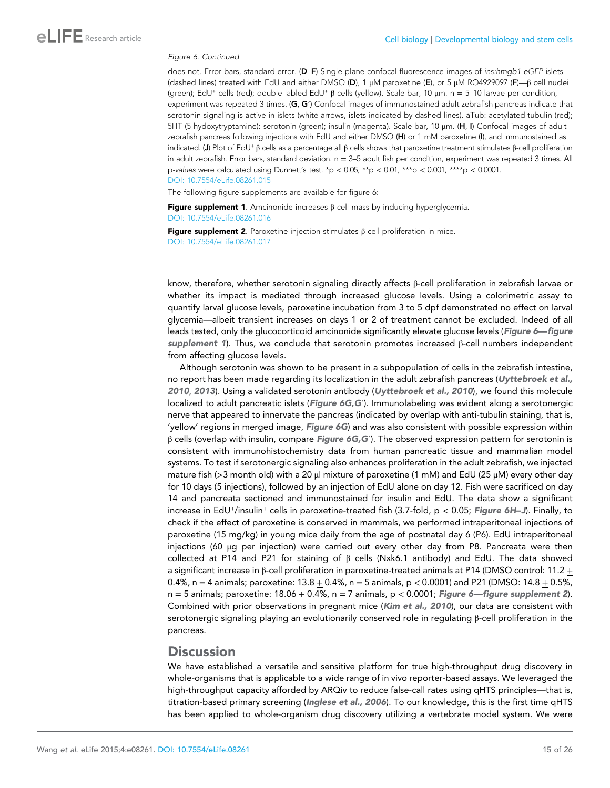#### <span id="page-14-0"></span>Figure 6. Continued

does not. Error bars, standard error. (D–F) Single-plane confocal fluorescence images of ins:hmgb1-eGFP islets (dashed lines) treated with EdU and either DMSO (D), 1 μM paroxetine (E), or 5 μM RO4929097 (F)—β cell nuclei (green); EdU<sup>+</sup> cells (red); double-labled EdU<sup>+</sup> β cells (yellow). Scale bar, 10 μm. n = 5–10 larvae per condition, experiment was repeated 3 times. (G, G′) Confocal images of immunostained adult zebrafish pancreas indicate that serotonin signaling is active in islets (white arrows, islets indicated by dashed lines). aTub: acetylated tubulin (red); 5HT (5-hydoxytryptamine): serotonin (green); insulin (magenta). Scale bar, 10 μm. (H, I) Confocal images of adult zebrafish pancreas following injections with EdU and either DMSO (H) or 1 mM paroxetine (I), and immunostained as indicated. (J) Plot of EdU<sup>+</sup> β cells as a percentage all β cells shows that paroxetine treatment stimulates β-cell proliferation in adult zebrafish. Error bars, standard deviation. n = 3-5 adult fish per condition, experiment was repeated 3 times. All p-values were calculated using Dunnett's test. \*p < 0.05, \*\*p < 0.01, \*\*\*p < 0.001, \*\*\*\*p < 0.0001. [DOI: 10.7554/eLife.08261.015](http://dx.doi.org/10.7554/eLife.08261.015)

The following figure supplements are available for figure 6:

Figure supplement 1. Amcinonide increases  $β$ -cell mass by inducing hyperglycemia. [DOI: 10.7554/eLife.08261.016](http://dx.doi.org/10.7554/eLife.08261.016)

Figure supplement 2. Paroxetine injection stimulates β-cell proliferation in mice. [DOI: 10.7554/eLife.08261.017](http://dx.doi.org/10.7554/eLife.08261.017)

know, therefore, whether serotonin signaling directly affects β-cell proliferation in zebrafish larvae or whether its impact is mediated through increased glucose levels. Using a colorimetric assay to quantify larval glucose levels, paroxetine incubation from 3 to 5 dpf demonstrated no effect on larval glycemia—albeit transient increases on days 1 or 2 of treatment cannot be excluded. Indeed of all leads tested, only the glucocorticoid amcinonide significantly elevate glucose levels (Figure 6—figure supplement 1). Thus, we conclude that serotonin promotes increased  $\beta$ -cell numbers independent from affecting glucose levels.

Although serotonin was shown to be present in a subpopulation of cells in the zebrafish intestine, no report has been made regarding its localization in the adult zebrafish pancreas ([Uyttebroek et al.,](#page-24-0) [2010](#page-24-0), [2013](#page-24-0)). Using a validated serotonin antibody ([Uyttebroek et al., 2010](#page-24-0)), we found this molecule localized to adult pancreatic islets ([Figure 6G,G](#page-13-0)'). Immunolabeling was evident along a serotonergic nerve that appeared to innervate the pancreas (indicated by overlap with anti-tubulin staining, that is, 'yellow' regions in merged image, Figure  $6G$ ) and was also consistent with possible expression within  $β$  cells (overlap with insulin, compare [Figure 6G,G](#page-13-0)<sup>'</sup>). The observed expression pattern for serotonin is consistent with immunohistochemistry data from human pancreatic tissue and mammalian model systems. To test if serotonergic signaling also enhances proliferation in the adult zebrafish, we injected mature fish (>3 month old) with a 20 μl mixture of paroxetine (1 mM) and EdU (25 μM) every other day for 10 days (5 injections), followed by an injection of EdU alone on day 12. Fish were sacrificed on day 14 and pancreata sectioned and immunostained for insulin and EdU. The data show a significant increase in EdU<sup>+</sup>/insulin<sup>+</sup> cells in paroxetine-treated fish (3.7-fold,  $p < 0.05$ ; [Figure 6H](#page-13-0)–[J](#page-13-0)). Finally, to check if the effect of paroxetine is conserved in mammals, we performed intraperitoneal injections of paroxetine (15 mg/kg) in young mice daily from the age of postnatal day 6 (P6). EdU intraperitoneal injections (60 μg per injection) were carried out every other day from P8. Pancreata were then collected at P14 and P21 for staining of  $β$  cells (Nxk6.1 antibody) and EdU. The data showed a significant increase in β-cell proliferation in paroxetine-treated animals at P14 (DMSO control: 11.2 + 0.4%, n = 4 animals; paroxetine:  $13.8 + 0.4$ %, n = 5 animals, p < 0.0001) and P21 (DMSO:  $14.8 + 0.5$ %,  $n = 5$  animals; paroxetine: 18.06 + 0.4%,  $n = 7$  animals,  $p < 0.0001$ ; Figure 6—figure supplement 2). Combined with prior observations in pregnant mice ([Kim et al., 2010](#page-23-0)), our data are consistent with serotonergic signaling playing an evolutionarily conserved role in regulating β-cell proliferation in the pancreas.

### **Discussion**

We have established a versatile and sensitive platform for true high-throughput drug discovery in whole-organisms that is applicable to a wide range of in vivo reporter-based assays. We leveraged the high-throughput capacity afforded by ARQiv to reduce false-call rates using qHTS principles—that is, titration-based primary screening ([Inglese et al., 2006](#page-23-0)). To our knowledge, this is the first time qHTS has been applied to whole-organism drug discovery utilizing a vertebrate model system. We were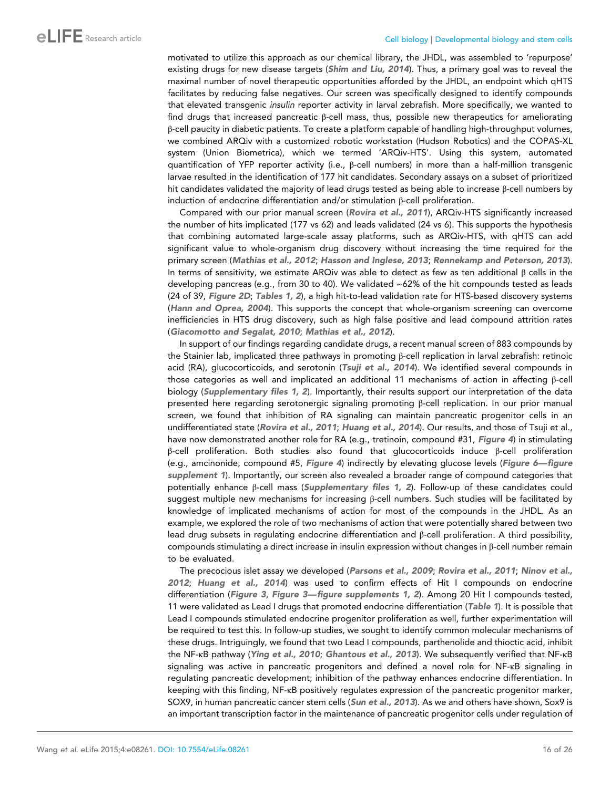motivated to utilize this approach as our chemical library, the JHDL, was assembled to 'repurpose' existing drugs for new disease targets ([Shim and Liu, 2014](#page-24-0)). Thus, a primary goal was to reveal the maximal number of novel therapeutic opportunities afforded by the JHDL, an endpoint which qHTS facilitates by reducing false negatives. Our screen was specifically designed to identify compounds that elevated transgenic insulin reporter activity in larval zebrafish. More specifically, we wanted to find drugs that increased pancreatic β-cell mass, thus, possible new therapeutics for ameliorating β-cell paucity in diabetic patients. To create a platform capable of handling high-throughput volumes, we combined ARQiv with a customized robotic workstation (Hudson Robotics) and the COPAS-XL system (Union Biometrica), which we termed 'ARQiv-HTS'. Using this system, automated quantification of YFP reporter activity (i.e., β-cell numbers) in more than a half-million transgenic larvae resulted in the identification of 177 hit candidates. Secondary assays on a subset of prioritized hit candidates validated the majority of lead drugs tested as being able to increase β-cell numbers by induction of endocrine differentiation and/or stimulation β-cell proliferation.

Compared with our prior manual screen ([Rovira et al., 2011](#page-24-0)), ARQiv-HTS significantly increased the number of hits implicated (177 vs 62) and leads validated (24 vs 6). This supports the hypothesis that combining automated large-scale assay platforms, such as ARQiv-HTS, with qHTS can add significant value to whole-organism drug discovery without increasing the time required for the primary screen ([Mathias et al., 2012](#page-23-0); [Hasson and Inglese, 2013](#page-23-0); [Rennekamp and Peterson, 2013](#page-24-0)). In terms of sensitivity, we estimate ARQiv was able to detect as few as ten additional β cells in the developing pancreas (e.g., from 30 to 40). We validated ∼62% of the hit compounds tested as leads (24 of 39, [Figure 2D](#page-5-0); [Tables 1, 2](#page-8-0)), a high hit-to-lead validation rate for HTS-based discovery systems ([Hann and Oprea, 2004](#page-23-0)). This supports the concept that whole-organism screening can overcome inefficiencies in HTS drug discovery, such as high false positive and lead compound attrition rates ([Giacomotto and Segalat, 2010](#page-23-0); [Mathias et al., 2012](#page-23-0)).

In support of our findings regarding candidate drugs, a recent manual screen of 883 compounds by the Stainier lab, implicated three pathways in promoting β-cell replication in larval zebrafish: retinoic acid (RA), glucocorticoids, and serotonin ([Tsuji et al., 2014](#page-24-0)). We identified several compounds in those categories as well and implicated an additional 11 mechanisms of action in affecting β-cell biology ([Supplementary files 1, 2](#page-21-0)). Importantly, their results support our interpretation of the data presented here regarding serotonergic signaling promoting β-cell replication. In our prior manual screen, we found that inhibition of RA signaling can maintain pancreatic progenitor cells in an undifferentiated state ([Rovira et al., 2011](#page-24-0); [Huang et al., 2014](#page-23-0)). Our results, and those of Tsuji et al., have now demonstrated another role for RA (e.g., tretinoin, compound #31, [Figure 4](#page-9-0)) in stimulating β-cell proliferation. Both studies also found that glucocorticoids induce β-cell proliferation (e.g., amcinonide, compound #5, [Figure 4](#page-9-0)) indirectly by elevating glucose levels ([Figure 6](#page-14-0)—[figure](#page-14-0) [supplement 1](#page-14-0)). Importantly, our screen also revealed a broader range of compound categories that potentially enhance β-cell mass ([Supplementary files 1, 2](#page-21-0)). Follow-up of these candidates could suggest multiple new mechanisms for increasing β-cell numbers. Such studies will be facilitated by knowledge of implicated mechanisms of action for most of the compounds in the JHDL. As an example, we explored the role of two mechanisms of action that were potentially shared between two lead drug subsets in regulating endocrine differentiation and β-cell proliferation. A third possibility, compounds stimulating a direct increase in insulin expression without changes in β-cell number remain to be evaluated.

The precocious islet assay we developed ([Parsons et al., 2009](#page-24-0); [Rovira et al., 2011](#page-24-0); [Ninov et al.,](#page-23-0) [2012](#page-23-0); [Huang et al., 2014](#page-23-0)) was used to confirm effects of Hit I compounds on endocrine differentiation ([Figure 3](#page-7-0), Figure 3-figure supplements 1, 2). Among 20 Hit I compounds tested, 11 were validated as Lead I drugs that promoted endocrine differentiation ([Table 1](#page-8-0)). It is possible that Lead I compounds stimulated endocrine progenitor proliferation as well, further experimentation will be required to test this. In follow-up studies, we sought to identify common molecular mechanisms of these drugs. Intriguingly, we found that two Lead I compounds, parthenolide and thioctic acid, inhibit the NF-κB pathway ([Ying et al., 2010](#page-25-0); [Ghantous et al., 2013](#page-22-0)). We subsequently verified that NF-κB signaling was active in pancreatic progenitors and defined a novel role for NF-κB signaling in regulating pancreatic development; inhibition of the pathway enhances endocrine differentiation. In keeping with this finding, NF-κB positively regulates expression of the pancreatic progenitor marker, SOX9, in human pancreatic cancer stem cells ([Sun et al., 2013](#page-24-0)). As we and others have shown, Sox9 is an important transcription factor in the maintenance of pancreatic progenitor cells under regulation of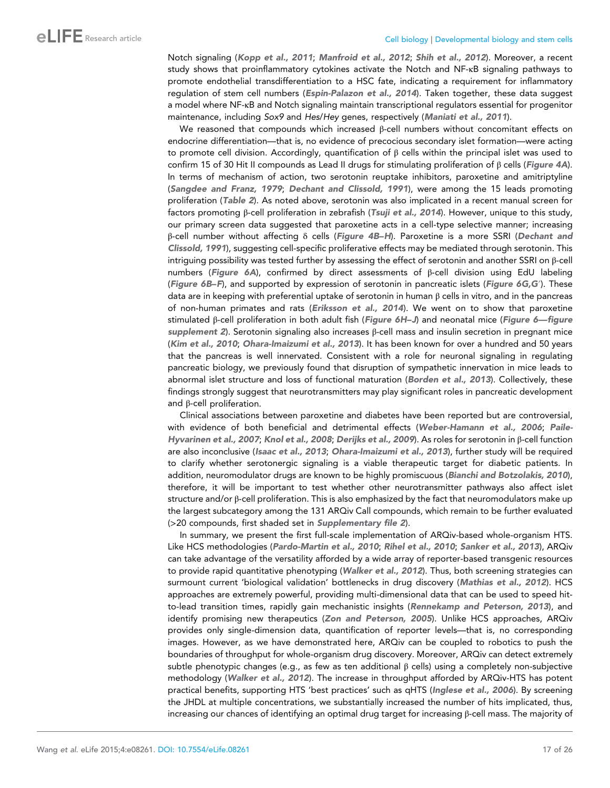Notch signaling ([Kopp et al., 2011](#page-23-0); [Manfroid et al., 2012](#page-23-0); [Shih et al., 2012](#page-24-0)). Moreover, a recent study shows that proinflammatory cytokines activate the Notch and NF-κB signaling pathways to promote endothelial transdifferentiation to a HSC fate, indicating a requirement for inflammatory regulation of stem cell numbers ([Espin-Palazon et al., 2014](#page-22-0)). Taken together, these data suggest a model where NF-κB and Notch signaling maintain transcriptional regulators essential for progenitor maintenance, including Sox9 and Hes/Hey genes, respectively ([Maniati et al., 2011](#page-23-0)).

We reasoned that compounds which increased  $β$ -cell numbers without concomitant effects on endocrine differentiation—that is, no evidence of precocious secondary islet formation—were acting to promote cell division. Accordingly, quantification of β cells within the principal islet was used to confirm 15 of 30 Hit II compounds as Lead II drugs for stimulating proliferation of  $β$  cells ([Figure 4A](#page-9-0)). In terms of mechanism of action, two serotonin reuptake inhibitors, paroxetine and amitriptyline ([Sangdee and Franz, 1979](#page-24-0); [Dechant and Clissold, 1991](#page-22-0)), were among the 15 leads promoting proliferation ([Table 2](#page-11-0)). As noted above, serotonin was also implicated in a recent manual screen for factors promoting β-cell proliferation in zebrafish ([Tsuji et al., 2014](#page-24-0)). However, unique to this study, our primary screen data suggested that paroxetine acts in a cell-type selective manner; increasing β-cell number without affecting δ cells ([Figure 4B–H](#page-9-0)). Paroxetine is a more SSRI ([Dechant and](#page-22-0) [Clissold, 1991](#page-22-0)), suggesting cell-specific proliferative effects may be mediated through serotonin. This intriguing possibility was tested further by assessing the effect of serotonin and another SSRI on β-cell numbers ([Figure 6A](#page-13-0)), confirmed by direct assessments of β-cell division using EdU labeling ([Figure 6B–F](#page-13-0)), and supported by expression of serotonin in pancreatic islets ([Figure 6G,G](#page-13-0)′). These data are in keeping with preferential uptake of serotonin in human  $β$  cells in vitro, and in the pancreas of non-human primates and rats ([Eriksson et al., 2014](#page-22-0)). We went on to show that paroxetine stimulated β-cell proliferation in both adult fish ([Figure 6H–J](#page-13-0)) and neonatal mice ([Figure 6](#page-14-0)—[figure](#page-14-0) [supplement 2](#page-14-0)). Serotonin signaling also increases β-cell mass and insulin secretion in pregnant mice ([Kim et al., 2010](#page-23-0); [Ohara-Imaizumi et al., 2013](#page-23-0)). It has been known for over a hundred and 50 years that the pancreas is well innervated. Consistent with a role for neuronal signaling in regulating pancreatic biology, we previously found that disruption of sympathetic innervation in mice leads to abnormal islet structure and loss of functional maturation ([Borden et al., 2013](#page-22-0)). Collectively, these findings strongly suggest that neurotransmitters may play significant roles in pancreatic development and β-cell proliferation.

Clinical associations between paroxetine and diabetes have been reported but are controversial, with evidence of both beneficial and detrimental effects ([Weber-Hamann et al., 2006](#page-24-0); [Paile-](#page-24-0)[Hyvarinen et al., 2007](#page-24-0); [Knol et al., 2008](#page-23-0); [Derijks et al., 2009](#page-22-0)). As roles for serotonin in β-cell function are also inconclusive ([Isaac et al., 2013](#page-23-0); [Ohara-Imaizumi et al., 2013](#page-23-0)), further study will be required to clarify whether serotonergic signaling is a viable therapeutic target for diabetic patients. In addition, neuromodulator drugs are known to be highly promiscuous ([Bianchi and Botzolakis, 2010](#page-22-0)), therefore, it will be important to test whether other neurotransmitter pathways also affect islet structure and/or β-cell proliferation. This is also emphasized by the fact that neuromodulators make up the largest subcategory among the 131 ARQiv Call compounds, which remain to be further evaluated (>20 compounds, first shaded set in [Supplementary file 2](#page-22-0)).

In summary, we present the first full-scale implementation of ARQiv-based whole-organism HTS. Like HCS methodologies ([Pardo-Martin et al., 2010](#page-24-0); [Rihel et al., 2010](#page-24-0); [Sanker et al., 2013](#page-24-0)), ARQiv can take advantage of the versatility afforded by a wide array of reporter-based transgenic resources to provide rapid quantitative phenotyping ([Walker et al., 2012](#page-24-0)). Thus, both screening strategies can surmount current 'biological validation' bottlenecks in drug discovery ([Mathias et al., 2012](#page-23-0)). HCS approaches are extremely powerful, providing multi-dimensional data that can be used to speed hit-to-lead transition times, rapidly gain mechanistic insights ([Rennekamp and Peterson, 2013](#page-24-0)), and identify promising new therapeutics ([Zon and Peterson, 2005](#page-25-0)). Unlike HCS approaches, ARQiv provides only single-dimension data, quantification of reporter levels—that is, no corresponding images. However, as we have demonstrated here, ARQiv can be coupled to robotics to push the boundaries of throughput for whole-organism drug discovery. Moreover, ARQiv can detect extremely subtle phenotypic changes (e.g., as few as ten additional  $\beta$  cells) using a completely non-subjective methodology ([Walker et al., 2012](#page-24-0)). The increase in throughput afforded by ARQiv-HTS has potent practical benefits, supporting HTS 'best practices' such as qHTS ([Inglese et al., 2006](#page-23-0)). By screening the JHDL at multiple concentrations, we substantially increased the number of hits implicated, thus, increasing our chances of identifying an optimal drug target for increasing β-cell mass. The majority of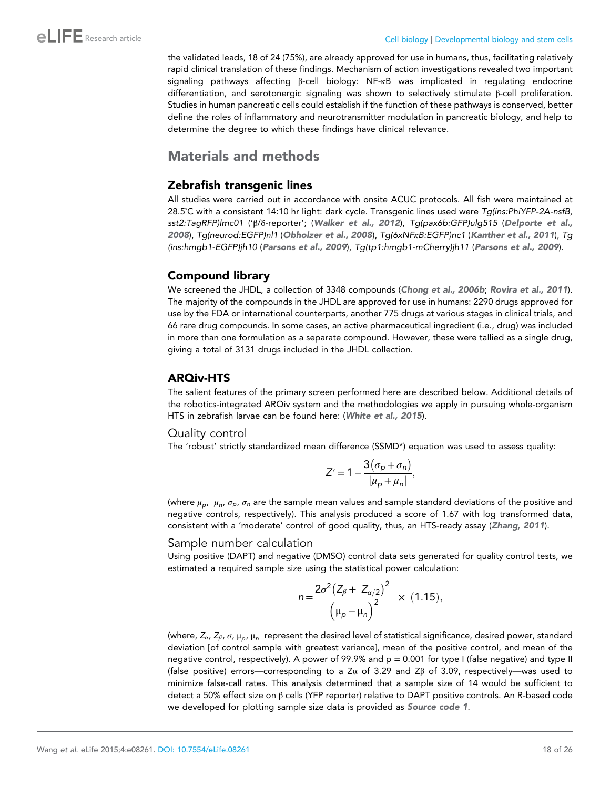the validated leads, 18 of 24 (75%), are already approved for use in humans, thus, facilitating relatively rapid clinical translation of these findings. Mechanism of action investigations revealed two important signaling pathways affecting β-cell biology: NF-κB was implicated in regulating endocrine differentiation, and serotonergic signaling was shown to selectively stimulate β-cell proliferation. Studies in human pancreatic cells could establish if the function of these pathways is conserved, better define the roles of inflammatory and neurotransmitter modulation in pancreatic biology, and help to determine the degree to which these findings have clinical relevance.

# Materials and methods

# Zebrafish transgenic lines

All studies were carried out in accordance with onsite ACUC protocols. All fish were maintained at 28.5˚C with a consistent 14:10 hr light: dark cycle. Transgenic lines used were Tg(ins:PhiYFP-2A-nsfB, sst2:TagRFP)lmc01 ('β/δ-reporter'; ([Walker et al., 2012](#page-24-0)), Tg(pax6b:GFP)ulg515 ([Delporte et al.,](#page-22-0) [2008](#page-22-0)), Tg(neurod:EGFP)nl1 ([Obholzer et al., 2008](#page-23-0)), Tg(6xNFκB:EGFP)nc1 ([Kanther et al., 2011](#page-23-0)), Tg (ins:hmgb1-EGFP)jh10 ([Parsons et al., 2009](#page-24-0)), Tg(tp1:hmgb1-mCherry)jh11 ([Parsons et al., 2009](#page-24-0)).

# Compound library

We screened the JHDL, a collection of 3348 compounds ([Chong et al., 2006b](#page-22-0); [Rovira et al., 2011](#page-24-0)). The majority of the compounds in the JHDL are approved for use in humans: 2290 drugs approved for use by the FDA or international counterparts, another 775 drugs at various stages in clinical trials, and 66 rare drug compounds. In some cases, an active pharmaceutical ingredient (i.e., drug) was included in more than one formulation as a separate compound. However, these were tallied as a single drug, giving a total of 3131 drugs included in the JHDL collection.

# ARQiv-HTS

The salient features of the primary screen performed here are described below. Additional details of the robotics-integrated ARQiv system and the methodologies we apply in pursuing whole-organism HTS in zebrafish larvae can be found here: ([White et al., 2015](#page-24-0)).

### Quality control

The 'robust' strictly standardized mean difference (SSMD\*) equation was used to assess quality:

$$
Z'=1-\frac{3(\sigma_p+\sigma_n)}{|\mu_p+\mu_n|},
$$

(where  $\mu_p$ ,  $\mu_n$ ,  $\sigma_p$ ,  $\sigma_n$  are the sample mean values and sample standard deviations of the positive and negative controls, respectively). This analysis produced a score of 1.67 with log transformed data, consistent with a 'moderate' control of good quality, thus, an HTS-ready assay ([Zhang, 2011](#page-25-0)).

### Sample number calculation

Using positive (DAPT) and negative (DMSO) control data sets generated for quality control tests, we estimated a required sample size using the statistical power calculation:

$$
n = \frac{2\sigma^2 (Z_{\beta} + Z_{\alpha/2})^2}{(\mu_p - \mu_n)^2} \times (1.15),
$$

(where,  $Z_{\alpha}$ ,  $Z_{\beta}$ ,  $\sigma$ ,  $\mu_p$ ,  $\mu_n$  represent the desired level of statistical significance, desired power, standard deviation [of control sample with greatest variance], mean of the positive control, and mean of the negative control, respectively). A power of 99.9% and  $p = 0.001$  for type I (false negative) and type II (false positive) errors—corresponding to a Z $\alpha$  of 3.29 and Z $\beta$  of 3.09, respectively—was used to minimize false-call rates. This analysis determined that a sample size of 14 would be sufficient to detect a 50% effect size on β cells (YFP reporter) relative to DAPT positive controls. An R-based code we developed for plotting sample size data is provided as [Source code 1](#page-22-0).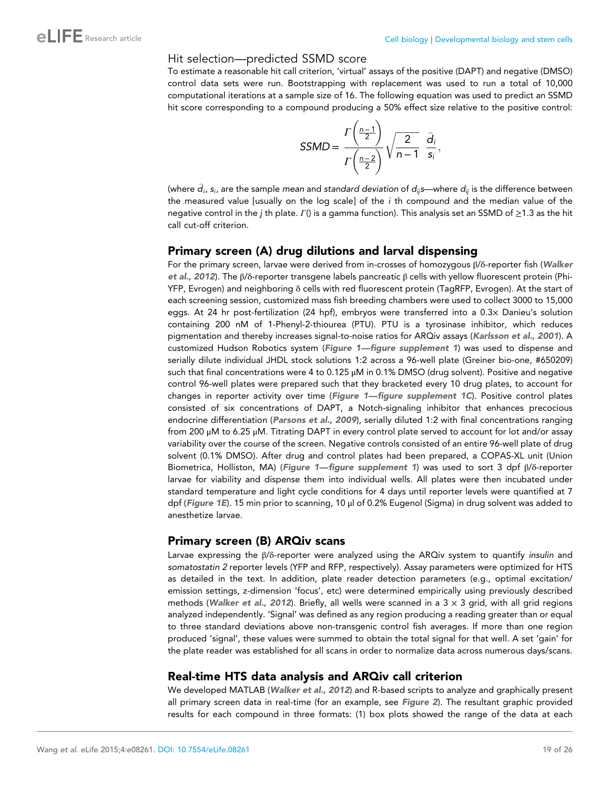### Hit selection—predicted SSMD score

To estimate a reasonable hit call criterion, 'virtual' assays of the positive (DAPT) and negative (DMSO) control data sets were run. Bootstrapping with replacement was used to run a total of 10,000 computational iterations at a sample size of 16. The following equation was used to predict an SSMD hit score corresponding to a compound producing a 50% effect size relative to the positive control:

$$
SSMD = \frac{\Gamma\left(\frac{n-1}{2}\right)}{\Gamma\left(\frac{n-2}{2}\right)} \sqrt{\frac{2}{n-1}} \frac{\bar{d}_i}{s_i},
$$

(where  $\bar d_i$ ,  $s_i$ , are the sample *mean* and standard deviation of  $d_{ij}$ s—where  $d_{ij}$  is the difference between the measured value [usually on the log scale] of the  $i$  th compound and the median value of the negative control in the j th plate. Γ() is a gamma function). This analysis set an SSMD of ≥1.3 as the hit call cut-off criterion.

### Primary screen (A) drug dilutions and larval dispensing

For the primary screen, larvae were derived from in-crosses of homozygous β/δ-reporter fish ([Walker](#page-24-0) [et al., 2012](#page-24-0)). The β/δ-reporter transgene labels pancreatic β cells with yellow fluorescent protein (Phi-YFP, Evrogen) and neighboring δ cells with red fluorescent protein (TagRFP, Evrogen). At the start of each screening session, customized mass fish breeding chambers were used to collect 3000 to 15,000 eggs. At 24 hr post-fertilization (24 hpf), embryos were transferred into a 0.3× Danieu's solution containing 200 nM of 1-Phenyl-2-thiourea (PTU). PTU is a tyrosinase inhibitor, which reduces pigmentation and thereby increases signal-to-noise ratios for ARQiv assays ([Karlsson et al., 2001](#page-23-0)). A customized Hudson Robotics system ([Figure 1](#page-3-0)—[figure supplement 1](#page-3-0)) was used to dispense and serially dilute individual JHDL stock solutions 1:2 across a 96-well plate (Greiner bio-one, #650209) such that final concentrations were 4 to 0.125 μM in 0.1% DMSO (drug solvent). Positive and negative control 96-well plates were prepared such that they bracketed every 10 drug plates, to account for changes in reporter activity over time (Figure  $1$ —figure supplement  $1C$ ). Positive control plates consisted of six concentrations of DAPT, a Notch-signaling inhibitor that enhances precocious endocrine differentiation ([Parsons et al., 2009](#page-24-0)), serially diluted 1:2 with final concentrations ranging from 200 μM to 6.25 μM. Titrating DAPT in every control plate served to account for lot and/or assay variability over the course of the screen. Negative controls consisted of an entire 96-well plate of drug solvent (0.1% DMSO). After drug and control plates had been prepared, a COPAS-XL unit (Union Biometrica, Holliston, MA) ([Figure 1](#page-3-0)—[figure supplement 1](#page-3-0)) was used to sort 3 dpf β/δ-reporter larvae for viability and dispense them into individual wells. All plates were then incubated under standard temperature and light cycle conditions for 4 days until reporter levels were quantified at 7 dpf ([Figure 1E](#page-3-0)). 15 min prior to scanning, 10 μl of 0.2% Eugenol (Sigma) in drug solvent was added to anesthetize larvae.

#### Primary screen (B) ARQiv scans

Larvae expressing the β/δ-reporter were analyzed using the ARQiv system to quantify insulin and somatostatin 2 reporter levels (YFP and RFP, respectively). Assay parameters were optimized for HTS as detailed in the text. In addition, plate reader detection parameters (e.g., optimal excitation/ emission settings, z-dimension 'focus', etc) were determined empirically using previously described methods ([Walker et al., 2012](#page-24-0)). Briefly, all wells were scanned in a  $3 \times 3$  grid, with all grid regions analyzed independently. 'Signal' was defined as any region producing a reading greater than or equal to three standard deviations above non-transgenic control fish averages. If more than one region produced 'signal', these values were summed to obtain the total signal for that well. A set 'gain' for the plate reader was established for all scans in order to normalize data across numerous days/scans.

### Real-time HTS data analysis and ARQiv call criterion

We developed MATLAB ([Walker et al., 2012](#page-24-0)) and R-based scripts to analyze and graphically present all primary screen data in real-time (for an example, see [Figure 2](#page-5-0)). The resultant graphic provided results for each compound in three formats: (1) box plots showed the range of the data at each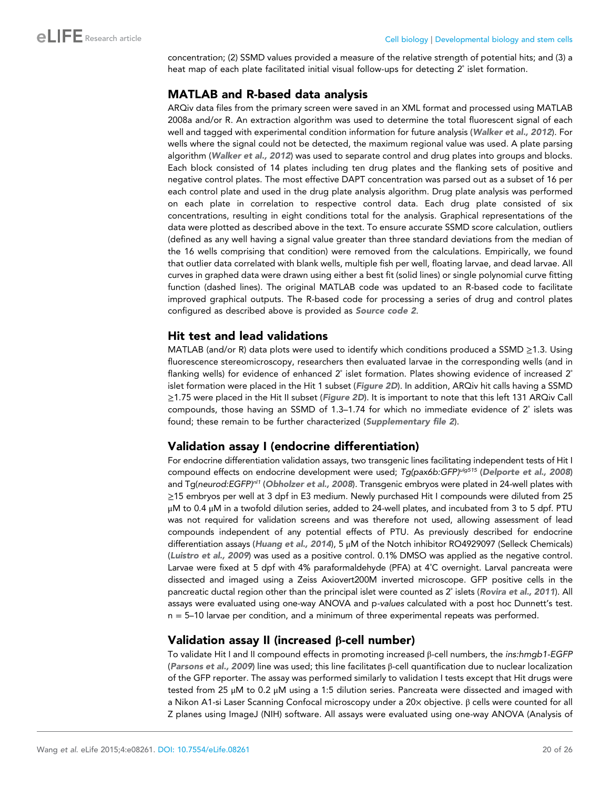concentration; (2) SSMD values provided a measure of the relative strength of potential hits; and (3) a heat map of each plate facilitated initial visual follow-ups for detecting 2˚ islet formation.

# MATLAB and R-based data analysis

ARQiv data files from the primary screen were saved in an XML format and processed using MATLAB 2008a and/or R. An extraction algorithm was used to determine the total fluorescent signal of each well and tagged with experimental condition information for future analysis ([Walker et al., 2012](#page-24-0)). For wells where the signal could not be detected, the maximum regional value was used. A plate parsing algorithm ([Walker et al., 2012](#page-24-0)) was used to separate control and drug plates into groups and blocks. Each block consisted of 14 plates including ten drug plates and the flanking sets of positive and negative control plates. The most effective DAPT concentration was parsed out as a subset of 16 per each control plate and used in the drug plate analysis algorithm. Drug plate analysis was performed on each plate in correlation to respective control data. Each drug plate consisted of six concentrations, resulting in eight conditions total for the analysis. Graphical representations of the data were plotted as described above in the text. To ensure accurate SSMD score calculation, outliers (defined as any well having a signal value greater than three standard deviations from the median of the 16 wells comprising that condition) were removed from the calculations. Empirically, we found that outlier data correlated with blank wells, multiple fish per well, floating larvae, and dead larvae. All curves in graphed data were drawn using either a best fit (solid lines) or single polynomial curve fitting function (dashed lines). The original MATLAB code was updated to an R-based code to facilitate improved graphical outputs. The R-based code for processing a series of drug and control plates configured as described above is provided as [Source code 2](#page-22-0).

### Hit test and lead validations

MATLAB (and/or R) data plots were used to identify which conditions produced a SSMD ≥1.3. Using fluorescence stereomicroscopy, researchers then evaluated larvae in the corresponding wells (and in flanking wells) for evidence of enhanced 2° islet formation. Plates showing evidence of increased 2° islet formation were placed in the Hit 1 subset ([Figure 2D](#page-5-0)). In addition, ARQiv hit calls having a SSMD ≥1.75 were placed in the Hit II subset ([Figure 2D](#page-5-0)). It is important to note that this left 131 ARQiv Call compounds, those having an SSMD of 1.3–1.74 for which no immediate evidence of 2˚ islets was found; these remain to be further characterized ([Supplementary file 2](#page-22-0)).

### Validation assay I (endocrine differentiation)

For endocrine differentiation validation assays, two transgenic lines facilitating independent tests of Hit I compound effects on endocrine development were used; Tg(pax6b:GFP)<sup>ulg515</sup> ([Delporte et al., 2008](#page-22-0)) and Tg(neurod:EGFP)<sup>n/1</sup> ([Obholzer et al., 2008](#page-23-0)). Transgenic embryos were plated in 24-well plates with ≥15 embryos per well at 3 dpf in E3 medium. Newly purchased Hit I compounds were diluted from 25 μM to 0.4 μM in a twofold dilution series, added to 24-well plates, and incubated from 3 to 5 dpf. PTU was not required for validation screens and was therefore not used, allowing assessment of lead compounds independent of any potential effects of PTU. As previously described for endocrine differentiation assays ([Huang et al., 2014](#page-23-0)), 5 μM of the Notch inhibitor RO4929097 (Selleck Chemicals) ([Luistro et al., 2009](#page-23-0)) was used as a positive control. 0.1% DMSO was applied as the negative control. Larvae were fixed at 5 dpf with 4% paraformaldehyde (PFA) at 4˚C overnight. Larval pancreata were dissected and imaged using a Zeiss Axiovert200M inverted microscope. GFP positive cells in the pancreatic ductal region other than the principal islet were counted as 2° islets ([Rovira et al., 2011](#page-24-0)). All assays were evaluated using one-way ANOVA and p-values calculated with a post hoc Dunnett's test.  $n = 5-10$  larvae per condition, and a minimum of three experimental repeats was performed.

# Validation assay II (increased β-cell number)

To validate Hit I and II compound effects in promoting increased β-cell numbers, the ins:hmgb1-EGFP ([Parsons et al., 2009](#page-24-0)) line was used; this line facilitates β-cell quantification due to nuclear localization of the GFP reporter. The assay was performed similarly to validation I tests except that Hit drugs were tested from 25 μM to 0.2 μM using a 1:5 dilution series. Pancreata were dissected and imaged with a Nikon A1-si Laser Scanning Confocal microscopy under a 20x objective. β cells were counted for all Z planes using ImageJ (NIH) software. All assays were evaluated using one-way ANOVA (Analysis of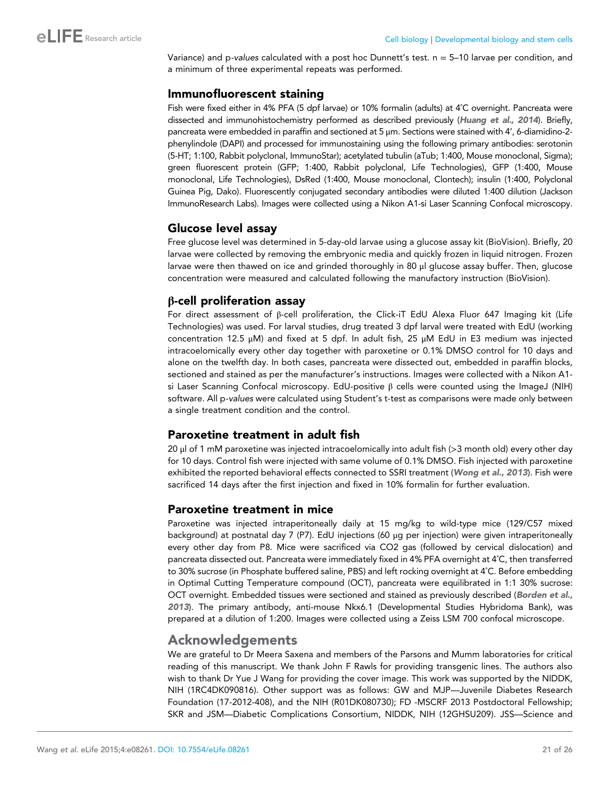Variance) and p-values calculated with a post hoc Dunnett's test. n = 5–10 larvae per condition, and a minimum of three experimental repeats was performed.

### Immunofluorescent staining

Fish were fixed either in 4% PFA (5 dpf larvae) or 10% formalin (adults) at 4˚C overnight. Pancreata were dissected and immunohistochemistry performed as described previously ([Huang et al., 2014](#page-23-0)). Briefly, pancreata were embedded in paraffin and sectioned at 5 μm. Sections were stained with 4', 6-diamidino-2 phenylindole (DAPI) and processed for immunostaining using the following primary antibodies: serotonin (5-HT; 1:100, Rabbit polyclonal, ImmunoStar); acetylated tubulin (aTub; 1:400, Mouse monoclonal, Sigma); green fluorescent protein (GFP; 1:400, Rabbit polyclonal, Life Technologies), GFP (1:400, Mouse monoclonal, Life Technologies), DsRed (1:400, Mouse monoclonal, Clontech); insulin (1:400, Polyclonal Guinea Pig, Dako). Fluorescently conjugated secondary antibodies were diluted 1:400 dilution (Jackson ImmunoResearch Labs). Images were collected using a Nikon A1-si Laser Scanning Confocal microscopy.

# Glucose level assay

Free glucose level was determined in 5-day-old larvae using a glucose assay kit (BioVision). Briefly, 20 larvae were collected by removing the embryonic media and quickly frozen in liquid nitrogen. Frozen larvae were then thawed on ice and grinded thoroughly in 80 μl glucose assay buffer. Then, glucose concentration were measured and calculated following the manufactory instruction (BioVision).

# β-cell proliferation assay

For direct assessment of β-cell proliferation, the Click-iT EdU Alexa Fluor 647 Imaging kit (Life Technologies) was used. For larval studies, drug treated 3 dpf larval were treated with EdU (working concentration 12.5 μM) and fixed at 5 dpf. In adult fish, 25 μM EdU in E3 medium was injected intracoelomically every other day together with paroxetine or 0.1% DMSO control for 10 days and alone on the twelfth day. In both cases, pancreata were dissected out, embedded in paraffin blocks, sectioned and stained as per the manufacturer's instructions. Images were collected with a Nikon A1 si Laser Scanning Confocal microscopy. EdU-positive  $β$  cells were counted using the ImageJ (NIH) software. All p-values were calculated using Student's t-test as comparisons were made only between a single treatment condition and the control.

### Paroxetine treatment in adult fish

20 μl of 1 mM paroxetine was injected intracoelomically into adult fish (>3 month old) every other day for 10 days. Control fish were injected with same volume of 0.1% DMSO. Fish injected with paroxetine exhibited the reported behavioral effects connected to SSRI treatment ([Wong et al., 2013](#page-25-0)). Fish were sacrificed 14 days after the first injection and fixed in 10% formalin for further evaluation.

### Paroxetine treatment in mice

Paroxetine was injected intraperitoneally daily at 15 mg/kg to wild-type mice (129/C57 mixed background) at postnatal day 7 (P7). EdU injections (60 μg per injection) were given intraperitoneally every other day from P8. Mice were sacrificed via CO2 gas (followed by cervical dislocation) and pancreata dissected out. Pancreata were immediately fixed in 4% PFA overnight at 4˚C, then transferred to 30% sucrose (in Phosphate buffered saline, PBS) and left rocking overnight at 4˚C. Before embedding in Optimal Cutting Temperature compound (OCT), pancreata were equilibrated in 1:1 30% sucrose: OCT overnight. Embedded tissues were sectioned and stained as previously described ([Borden et al.,](#page-22-0) [2013](#page-22-0)). The primary antibody, anti-mouse Nkx6.1 (Developmental Studies Hybridoma Bank), was prepared at a dilution of 1:200. Images were collected using a Zeiss LSM 700 confocal microscope.

# Acknowledgements

We are grateful to Dr Meera Saxena and members of the Parsons and Mumm laboratories for critical reading of this manuscript. We thank John F Rawls for providing transgenic lines. The authors also wish to thank Dr Yue J Wang for providing the cover image. This work was supported by the NIDDK, NIH (1RC4DK090816). Other support was as follows: GW and MJP—Juvenile Diabetes Research Foundation (17-2012-408), and the NIH (R01DK080730); FD -MSCRF 2013 Postdoctoral Fellowship; SKR and JSM—Diabetic Complications Consortium, NIDDK, NIH (12GHSU209). JSS—Science and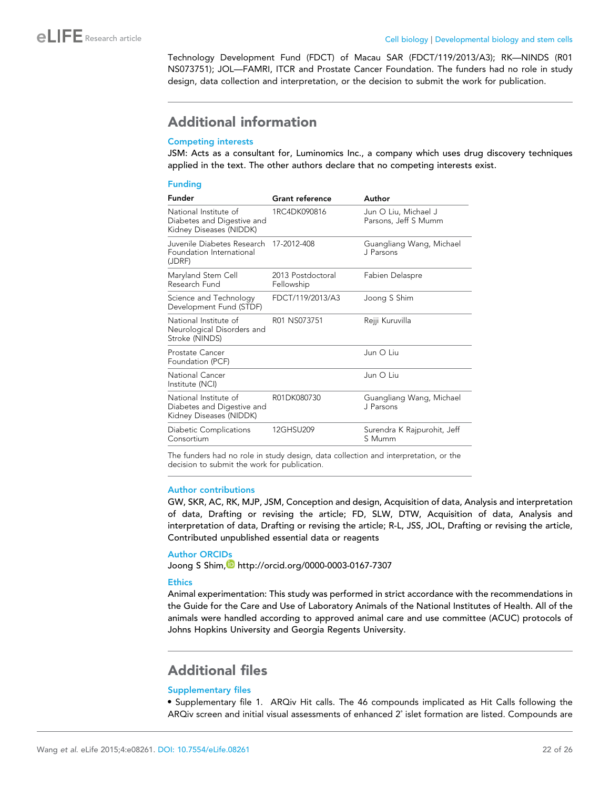<span id="page-21-0"></span>Technology Development Fund (FDCT) of Macau SAR (FDCT/119/2013/A3); RK—NINDS (R01 NS073751); JOL—FAMRI, ITCR and Prostate Cancer Foundation. The funders had no role in study design, data collection and interpretation, or the decision to submit the work for publication.

# Additional information

#### Competing interests

JSM: Acts as a consultant for, Luminomics Inc., a company which uses drug discovery techniques applied in the text. The other authors declare that no competing interests exist.

#### Funding

| <b>Funder</b>                                                                  | <b>Grant reference</b>          | Author                                       |
|--------------------------------------------------------------------------------|---------------------------------|----------------------------------------------|
| National Institute of<br>Diabetes and Digestive and<br>Kidney Diseases (NIDDK) | 1RC4DK090816                    | Jun O Liu, Michael J<br>Parsons, Jeff S Mumm |
| Juvenile Diabetes Research<br>Foundation International<br>(JDRF)               | 17-2012-408                     | Guangliang Wang, Michael<br>J Parsons        |
| Maryland Stem Cell<br>Research Fund                                            | 2013 Postdoctoral<br>Fellowship | Fabien Delaspre                              |
| Science and Technology<br>Development Fund (STDF)                              | FDCT/119/2013/A3                | Joong S Shim                                 |
| National Institute of<br>Neurological Disorders and<br>Stroke (NINDS)          | R01 NS073751                    | Rejji Kuruvilla                              |
| Prostate Cancer<br>Foundation (PCF)                                            |                                 | Jun O Liu                                    |
| National Cancer<br>Institute (NCI)                                             |                                 | Jun O Liu                                    |
| National Institute of<br>Diabetes and Digestive and<br>Kidney Diseases (NIDDK) | R01DK080730                     | Guangliang Wang, Michael<br>J Parsons        |
| Diabetic Complications<br>Consortium                                           | 12GHSU209                       | Surendra K Rajpurohit, Jeff<br>S Mumm        |

The funders had no role in study design, data collection and interpretation, or the decision to submit the work for publication.

#### Author contributions

GW, SKR, AC, RK, MJP, JSM, Conception and design, Acquisition of data, Analysis and interpretation of data, Drafting or revising the article; FD, SLW, DTW, Acquisition of data, Analysis and interpretation of data, Drafting or revising the article; R-L, JSS, JOL, Drafting or revising the article, Contributed unpublished essential data or reagents

#### Author ORCIDs

Joong S Shim, <http://orcid.org/0000-0003-0167-7307>

#### **Ethics**

Animal experimentation: This study was performed in strict accordance with the recommendations in the Guide for the Care and Use of Laboratory Animals of the National Institutes of Health. All of the animals were handled according to approved animal care and use committee (ACUC) protocols of Johns Hopkins University and Georgia Regents University.

# Additional files

#### Supplementary files

· Supplementary file 1. ARQiv Hit calls. The 46 compounds implicated as Hit Calls following the ARQiv screen and initial visual assessments of enhanced 2˚ islet formation are listed. Compounds are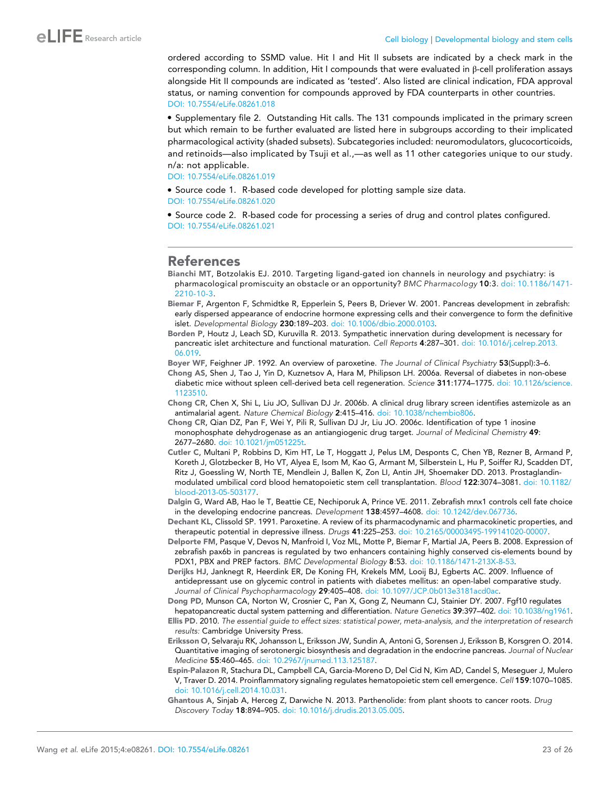<span id="page-22-0"></span>ordered according to SSMD value. Hit I and Hit II subsets are indicated by a check mark in the corresponding column. In addition, Hit I compounds that were evaluated in β-cell proliferation assays alongside Hit II compounds are indicated as 'tested'. Also listed are clinical indication, FDA approval status, or naming convention for compounds approved by FDA counterparts in other countries. [DOI: 10.7554/eLife.08261.018](http://dx.doi.org/10.7554/eLife.08261.018)

· Supplementary file 2. Outstanding Hit calls. The 131 compounds implicated in the primary screen but which remain to be further evaluated are listed here in subgroups according to their implicated pharmacological activity (shaded subsets). Subcategories included: neuromodulators, glucocorticoids, and retinoids—also implicated by Tsuji et al.,—as well as 11 other categories unique to our study. n/a: not applicable.

[DOI: 10.7554/eLife.08261.019](http://dx.doi.org/10.7554/eLife.08261.019)

· Source code 1. R-based code developed for plotting sample size data. [DOI: 10.7554/eLife.08261.020](http://dx.doi.org/10.7554/eLife.08261.020)

· Source code 2. R-based code for processing a series of drug and control plates configured. [DOI: 10.7554/eLife.08261.021](http://dx.doi.org/10.7554/eLife.08261.021)

### References

Bianchi MT, Botzolakis EJ. 2010. Targeting ligand-gated ion channels in neurology and psychiatry: is pharmacological promiscuity an obstacle or an opportunity? BMC Pharmacology 10:3. [doi: 10.1186/1471-](http://dx.doi.org/10.1186/1471-2210-10-3) [2210-10-3](http://dx.doi.org/10.1186/1471-2210-10-3).

Biemar F, Argenton F, Schmidtke R, Epperlein S, Peers B, Driever W. 2001. Pancreas development in zebrafish: early dispersed appearance of endocrine hormone expressing cells and their convergence to form the definitive islet. Developmental Biology 230:189–203. [doi: 10.1006/dbio.2000.0103](http://dx.doi.org/10.1006/dbio.2000.0103).

Borden P, Houtz J, Leach SD, Kuruvilla R. 2013. Sympathetic innervation during development is necessary for pancreatic islet architecture and functional maturation. Cell Reports 4:287–301. [doi: 10.1016/j.celrep.2013.](http://dx.doi.org/10.1016/j.celrep.2013.06.019) [06.019.](http://dx.doi.org/10.1016/j.celrep.2013.06.019)

Boyer WF, Feighner JP. 1992. An overview of paroxetine. The Journal of Clinical Psychiatry 53(Suppl):3–6.

Chong AS, Shen J, Tao J, Yin D, Kuznetsov A, Hara M, Philipson LH. 2006a. Reversal of diabetes in non-obese diabetic mice without spleen cell-derived beta cell regeneration. Science 311:1774-1775. [doi: 10.1126/science.](http://dx.doi.org/10.1126/science.1123510) [1123510](http://dx.doi.org/10.1126/science.1123510).

Chong CR, Chen X, Shi L, Liu JO, Sullivan DJ Jr. 2006b. A clinical drug library screen identifies astemizole as an antimalarial agent. Nature Chemical Biology 2:415-416. [doi: 10.1038/nchembio806](http://dx.doi.org/10.1038/nchembio806).

Chong CR, Qian DZ, Pan F, Wei Y, Pili R, Sullivan DJ Jr, Liu JO. 2006c. Identification of type 1 inosine monophosphate dehydrogenase as an antiangiogenic drug target. Journal of Medicinal Chemistry 49: 2677–2680. [doi: 10.1021/jm051225t](http://dx.doi.org/10.1021/jm051225t).

Cutler C, Multani P, Robbins D, Kim HT, Le T, Hoggatt J, Pelus LM, Desponts C, Chen YB, Rezner B, Armand P, Koreth J, Glotzbecker B, Ho VT, Alyea E, Isom M, Kao G, Armant M, Silberstein L, Hu P, Soiffer RJ, Scadden DT, Ritz J, Goessling W, North TE, Mendlein J, Ballen K, Zon LI, Antin JH, Shoemaker DD. 2013. Prostaglandinmodulated umbilical cord blood hematopoietic stem cell transplantation. Blood 122:3074–3081. [doi: 10.1182/](http://dx.doi.org/10.1182/blood-2013-05-503177) [blood-2013-05-503177](http://dx.doi.org/10.1182/blood-2013-05-503177).

Dalgin G, Ward AB, Hao le T, Beattie CE, Nechiporuk A, Prince VE. 2011. Zebrafish mnx1 controls cell fate choice in the developing endocrine pancreas. Development 138:4597–4608. [doi: 10.1242/dev.067736](http://dx.doi.org/10.1242/dev.067736).

Dechant KL, Clissold SP. 1991. Paroxetine. A review of its pharmacodynamic and pharmacokinetic properties, and therapeutic potential in depressive illness. Drugs 41:225–253. [doi: 10.2165/00003495-199141020-00007.](http://dx.doi.org/10.2165/00003495-199141020-00007)

Delporte FM, Pasque V, Devos N, Manfroid I, Voz ML, Motte P, Biemar F, Martial JA, Peers B. 2008. Expression of zebrafish pax6b in pancreas is regulated by two enhancers containing highly conserved cis-elements bound by PDX1, PBX and PREP factors. BMC Developmental Biology 8:53. [doi: 10.1186/1471-213X-8-53](http://dx.doi.org/10.1186/1471-213X-8-53).

Derijks HJ, Janknegt R, Heerdink ER, De Koning FH, Krekels MM, Looij BJ, Egberts AC. 2009. Influence of antidepressant use on glycemic control in patients with diabetes mellitus: an open-label comparative study. Journal of Clinical Psychopharmacology 29:405-408. [doi: 10.1097/JCP.0b013e3181acd0ac.](http://dx.doi.org/10.1097/JCP.0b013e3181acd0ac)

Dong PD, Munson CA, Norton W, Crosnier C, Pan X, Gong Z, Neumann CJ, Stainier DY. 2007. Fgf10 regulates

hepatopancreatic ductal system patterning and differentiation. Nature Genetics 39:397-402. [doi: 10.1038/ng1961.](http://dx.doi.org/10.1038/ng1961) Ellis PD. 2010. The essential guide to effect sizes: statistical power, meta-analysis, and the interpretation of research results: Cambridge University Press.

Eriksson O, Selvaraju RK, Johansson L, Eriksson JW, Sundin A, Antoni G, Sorensen J, Eriksson B, Korsgren O. 2014. Quantitative imaging of serotonergic biosynthesis and degradation in the endocrine pancreas. Journal of Nuclear Medicine 55:460–465. [doi: 10.2967/jnumed.113.125187](http://dx.doi.org/10.2967/jnumed.113.125187).

Espin-Palazon R, Stachura DL, Campbell CA, Garcia-Moreno D, Del Cid N, Kim AD, Candel S, Meseguer J, Mulero V, Traver D. 2014. Proinflammatory signaling regulates hematopoietic stem cell emergence. Cell 159:1070–1085. [doi: 10.1016/j.cell.2014.10.031.](http://dx.doi.org/10.1016/j.cell.2014.10.031)

Ghantous A, Sinjab A, Herceg Z, Darwiche N. 2013. Parthenolide: from plant shoots to cancer roots. Drug Discovery Today 18:894–905. [doi: 10.1016/j.drudis.2013.05.005](http://dx.doi.org/10.1016/j.drudis.2013.05.005).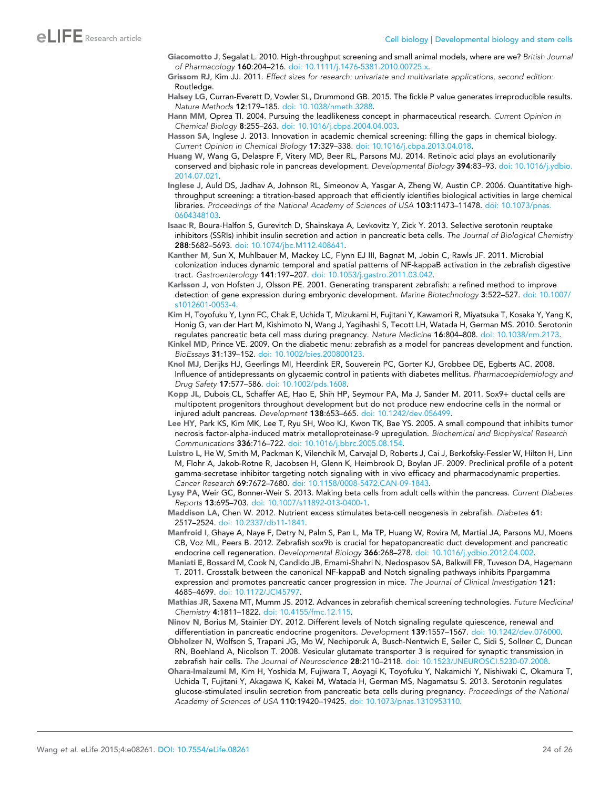- <span id="page-23-0"></span>Giacomotto J, Segalat L. 2010. High-throughput screening and small animal models, where are we? British Journal of Pharmacology 160:204–216. [doi: 10.1111/j.1476-5381.2010.00725.x.](http://dx.doi.org/10.1111/j.1476-5381.2010.00725.x)
- Grissom RJ, Kim JJ. 2011. Effect sizes for research: univariate and multivariate applications, second edition: Routledge.
- Halsey LG, Curran-Everett D, Vowler SL, Drummond GB. 2015. The fickle P value generates irreproducible results. Nature Methods 12:179–185. [doi: 10.1038/nmeth.3288](http://dx.doi.org/10.1038/nmeth.3288).
- Hann MM, Oprea TI. 2004. Pursuing the leadlikeness concept in pharmaceutical research. Current Opinion in Chemical Biology 8:255–263. [doi: 10.1016/j.cbpa.2004.04.003.](http://dx.doi.org/10.1016/j.cbpa.2004.04.003)
- Hasson SA, Inglese J. 2013. Innovation in academic chemical screening: filling the gaps in chemical biology. Current Opinion in Chemical Biology 17:329–338. [doi: 10.1016/j.cbpa.2013.04.018](http://dx.doi.org/10.1016/j.cbpa.2013.04.018).
- Huang W, Wang G, Delaspre F, Vitery MD, Beer RL, Parsons MJ. 2014. Retinoic acid plays an evolutionarily conserved and biphasic role in pancreas development. Developmental Biology 394:83-93. [doi: 10.1016/j.ydbio.](http://dx.doi.org/10.1016/j.ydbio.2014.07.021) [2014.07.021](http://dx.doi.org/10.1016/j.ydbio.2014.07.021).
- Inglese J, Auld DS, Jadhav A, Johnson RL, Simeonov A, Yasgar A, Zheng W, Austin CP. 2006. Quantitative highthroughput screening: a titration-based approach that efficiently identifies biological activities in large chemical libraries. Proceedings of the National Academy of Sciences of USA 103:11473-11478. [doi: 10.1073/pnas.](http://dx.doi.org/10.1073/pnas.0604348103) [0604348103](http://dx.doi.org/10.1073/pnas.0604348103).
- Isaac R, Boura-Halfon S, Gurevitch D, Shainskaya A, Levkovitz Y, Zick Y. 2013. Selective serotonin reuptake inhibitors (SSRIs) inhibit insulin secretion and action in pancreatic beta cells. The Journal of Biological Chemistry 288:5682–5693. [doi: 10.1074/jbc.M112.408641.](http://dx.doi.org/10.1074/jbc.M112.408641)
- Kanther M, Sun X, Muhlbauer M, Mackey LC, Flynn EJ III, Bagnat M, Jobin C, Rawls JF. 2011. Microbial colonization induces dynamic temporal and spatial patterns of NF-kappaB activation in the zebrafish digestive tract. Gastroenterology 141:197-207. [doi: 10.1053/j.gastro.2011.03.042](http://dx.doi.org/10.1053/j.gastro.2011.03.042).
- Karlsson J, von Hofsten J, Olsson PE. 2001. Generating transparent zebrafish: a refined method to improve detection of gene expression during embryonic development. Marine Biotechnology 3:522–527. [doi: 10.1007/](http://dx.doi.org/10.1007/s1012601-0053-4) [s1012601-0053-4.](http://dx.doi.org/10.1007/s1012601-0053-4)
- Kim H, Toyofuku Y, Lynn FC, Chak E, Uchida T, Mizukami H, Fujitani Y, Kawamori R, Miyatsuka T, Kosaka Y, Yang K, Honig G, van der Hart M, Kishimoto N, Wang J, Yagihashi S, Tecott LH, Watada H, German MS. 2010. Serotonin regulates pancreatic beta cell mass during pregnancy. Nature Medicine 16:804–808. [doi: 10.1038/nm.2173](http://dx.doi.org/10.1038/nm.2173).
- Kinkel MD, Prince VE. 2009. On the diabetic menu: zebrafish as a model for pancreas development and function. BioEssays 31:139–152. [doi: 10.1002/bies.200800123.](http://dx.doi.org/10.1002/bies.200800123)
- Knol MJ, Derijks HJ, Geerlings MI, Heerdink ER, Souverein PC, Gorter KJ, Grobbee DE, Egberts AC. 2008. Influence of antidepressants on glycaemic control in patients with diabetes mellitus. Pharmacoepidemiology and Drug Safety 17:577–586. [doi: 10.1002/pds.1608.](http://dx.doi.org/10.1002/pds.1608)
- Kopp JL, Dubois CL, Schaffer AE, Hao E, Shih HP, Seymour PA, Ma J, Sander M. 2011. Sox9+ ductal cells are multipotent progenitors throughout development but do not produce new endocrine cells in the normal or injured adult pancreas. Development 138:653–665. [doi: 10.1242/dev.056499](http://dx.doi.org/10.1242/dev.056499).
- Lee HY, Park KS, Kim MK, Lee T, Ryu SH, Woo KJ, Kwon TK, Bae YS. 2005. A small compound that inhibits tumor necrosis factor-alpha-induced matrix metalloproteinase-9 upregulation. Biochemical and Biophysical Research Communications 336:716–722. [doi: 10.1016/j.bbrc.2005.08.154](http://dx.doi.org/10.1016/j.bbrc.2005.08.154).
- Luistro L, He W, Smith M, Packman K, Vilenchik M, Carvajal D, Roberts J, Cai J, Berkofsky-Fessler W, Hilton H, Linn M, Flohr A, Jakob-Rotne R, Jacobsen H, Glenn K, Heimbrook D, Boylan JF. 2009. Preclinical profile of a potent gamma-secretase inhibitor targeting notch signaling with in vivo efficacy and pharmacodynamic properties. Cancer Research 69:7672-7680. [doi: 10.1158/0008-5472.CAN-09-1843](http://dx.doi.org/10.1158/0008-5472.CAN-09-1843).
- Lysy PA, Weir GC, Bonner-Weir S. 2013. Making beta cells from adult cells within the pancreas. Current Diabetes Reports 13:695–703. [doi: 10.1007/s11892-013-0400-1.](http://dx.doi.org/10.1007/s11892-013-0400-1)
- Maddison LA, Chen W. 2012. Nutrient excess stimulates beta-cell neogenesis in zebrafish. Diabetes 61: 2517–2524. [doi: 10.2337/db11-1841](http://dx.doi.org/10.2337/db11-1841).
- Manfroid I, Ghaye A, Naye F, Detry N, Palm S, Pan L, Ma TP, Huang W, Rovira M, Martial JA, Parsons MJ, Moens CB, Voz ML, Peers B. 2012. Zebrafish sox9b is crucial for hepatopancreatic duct development and pancreatic endocrine cell regeneration. Developmental Biology 366:268–278. [doi: 10.1016/j.ydbio.2012.04.002.](http://dx.doi.org/10.1016/j.ydbio.2012.04.002)
- Maniati E, Bossard M, Cook N, Candido JB, Emami-Shahri N, Nedospasov SA, Balkwill FR, Tuveson DA, Hagemann T. 2011. Crosstalk between the canonical NF-kappaB and Notch signaling pathways inhibits Ppargamma expression and promotes pancreatic cancer progression in mice. The Journal of Clinical Investigation 121: 4685–4699. [doi: 10.1172/JCI45797.](http://dx.doi.org/10.1172/JCI45797)
- Mathias JR, Saxena MT, Mumm JS. 2012. Advances in zebrafish chemical screening technologies. Future Medicinal Chemistry 4:1811–1822. [doi: 10.4155/fmc.12.115.](http://dx.doi.org/10.4155/fmc.12.115)
- Ninov N, Borius M, Stainier DY. 2012. Different levels of Notch signaling regulate quiescence, renewal and differentiation in pancreatic endocrine progenitors. Development 139:1557–1567. [doi: 10.1242/dev.076000.](http://dx.doi.org/10.1242/dev.076000)
- Obholzer N, Wolfson S, Trapani JG, Mo W, Nechiporuk A, Busch-Nentwich E, Seiler C, Sidi S, Sollner C, Duncan RN, Boehland A, Nicolson T. 2008. Vesicular glutamate transporter 3 is required for synaptic transmission in zebrafish hair cells. The Journal of Neuroscience 28:2110-2118. [doi: 10.1523/JNEUROSCI.5230-07.2008](http://dx.doi.org/10.1523/JNEUROSCI.5230-07.2008).
- Ohara-Imaizumi M, Kim H, Yoshida M, Fujiwara T, Aoyagi K, Toyofuku Y, Nakamichi Y, Nishiwaki C, Okamura T, Uchida T, Fujitani Y, Akagawa K, Kakei M, Watada H, German MS, Nagamatsu S. 2013. Serotonin regulates glucose-stimulated insulin secretion from pancreatic beta cells during pregnancy. Proceedings of the National Academy of Sciences of USA 110:19420–19425. [doi: 10.1073/pnas.1310953110.](http://dx.doi.org/10.1073/pnas.1310953110)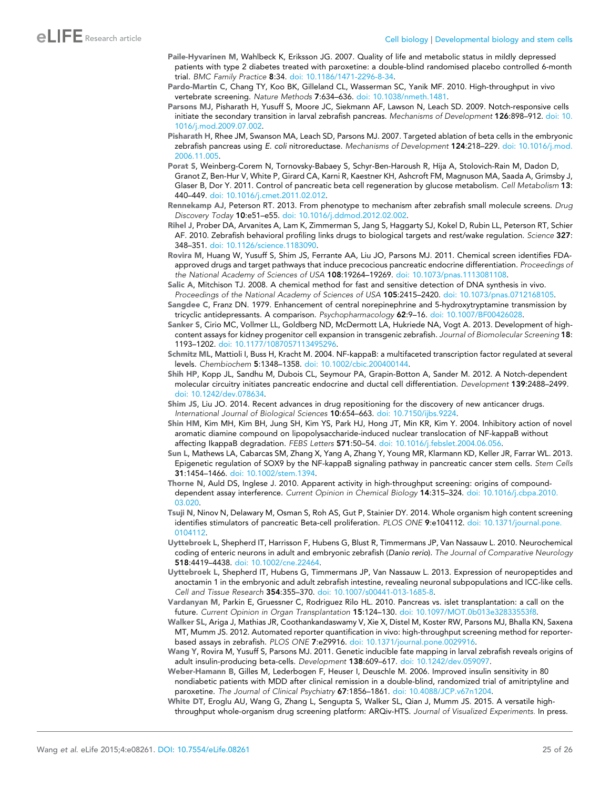- <span id="page-24-0"></span>Paile-Hyvarinen M, Wahlbeck K, Eriksson JG. 2007. Quality of life and metabolic status in mildly depressed patients with type 2 diabetes treated with paroxetine: a double-blind randomised placebo controlled 6-month trial. BMC Family Practice 8:34. [doi: 10.1186/1471-2296-8-34.](http://dx.doi.org/10.1186/1471-2296-8-34)
- Pardo-Martin C, Chang TY, Koo BK, Gilleland CL, Wasserman SC, Yanik MF. 2010. High-throughput in vivo vertebrate screening. Nature Methods 7:634-636. [doi: 10.1038/nmeth.1481](http://dx.doi.org/10.1038/nmeth.1481).
- Parsons MJ, Pisharath H, Yusuff S, Moore JC, Siekmann AF, Lawson N, Leach SD. 2009. Notch-responsive cells initiate the secondary transition in larval zebrafish pancreas. Mechanisms of Development 126:898–912. [doi: 10.](http://dx.doi.org/10.1016/j.mod.2009.07.002) [1016/j.mod.2009.07.002.](http://dx.doi.org/10.1016/j.mod.2009.07.002)
- Pisharath H, Rhee JM, Swanson MA, Leach SD, Parsons MJ. 2007. Targeted ablation of beta cells in the embryonic zebrafish pancreas using E. coli nitroreductase. Mechanisms of Development 124:218-229. [doi: 10.1016/j.mod.](http://dx.doi.org/10.1016/j.mod.2006.11.005) [2006.11.005](http://dx.doi.org/10.1016/j.mod.2006.11.005).
- Porat S, Weinberg-Corem N, Tornovsky-Babaey S, Schyr-Ben-Haroush R, Hija A, Stolovich-Rain M, Dadon D, Granot Z, Ben-Hur V, White P, Girard CA, Karni R, Kaestner KH, Ashcroft FM, Magnuson MA, Saada A, Grimsby J, Glaser B, Dor Y. 2011. Control of pancreatic beta cell regeneration by glucose metabolism. Cell Metabolism 13: 440–449. [doi: 10.1016/j.cmet.2011.02.012.](http://dx.doi.org/10.1016/j.cmet.2011.02.012)
- Rennekamp AJ, Peterson RT. 2013. From phenotype to mechanism after zebrafish small molecule screens. Drug Discovery Today 10:e51–e55. [doi: 10.1016/j.ddmod.2012.02.002](http://dx.doi.org/10.1016/j.ddmod.2012.02.002).
- Rihel J, Prober DA, Arvanites A, Lam K, Zimmerman S, Jang S, Haggarty SJ, Kokel D, Rubin LL, Peterson RT, Schier AF. 2010. Zebrafish behavioral profiling links drugs to biological targets and rest/wake regulation. Science 327: 348–351. [doi: 10.1126/science.1183090.](http://dx.doi.org/10.1126/science.1183090)
- Rovira M, Huang W, Yusuff S, Shim JS, Ferrante AA, Liu JO, Parsons MJ. 2011. Chemical screen identifies FDAapproved drugs and target pathways that induce precocious pancreatic endocrine differentiation. Proceedings of the National Academy of Sciences of USA 108:19264–19269. [doi: 10.1073/pnas.1113081108](http://dx.doi.org/10.1073/pnas.1113081108).
- Salic A, Mitchison TJ. 2008. A chemical method for fast and sensitive detection of DNA synthesis in vivo. Proceedings of the National Academy of Sciences of USA 105:2415–2420. [doi: 10.1073/pnas.0712168105](http://dx.doi.org/10.1073/pnas.0712168105).
- Sangdee C, Franz DN. 1979. Enhancement of central norepinephrine and 5-hydroxytryptamine transmission by tricyclic antidepressants. A comparison. Psychopharmacology 62:9-16. [doi: 10.1007/BF00426028](http://dx.doi.org/10.1007/BF00426028).
- Sanker S, Cirio MC, Vollmer LL, Goldberg ND, McDermott LA, Hukriede NA, Vogt A. 2013. Development of highcontent assays for kidney progenitor cell expansion in transgenic zebrafish. Journal of Biomolecular Screening 18: 1193–1202. [doi: 10.1177/1087057113495296.](http://dx.doi.org/10.1177/1087057113495296)
- Schmitz ML, Mattioli I, Buss H, Kracht M. 2004. NF-kappaB: a multifaceted transcription factor regulated at several levels. Chembiochem 5:1348–1358. [doi: 10.1002/cbic.200400144.](http://dx.doi.org/10.1002/cbic.200400144)
- Shih HP, Kopp JL, Sandhu M, Dubois CL, Seymour PA, Grapin-Botton A, Sander M. 2012. A Notch-dependent molecular circuitry initiates pancreatic endocrine and ductal cell differentiation. Development 139:2488–2499. [doi: 10.1242/dev.078634](http://dx.doi.org/10.1242/dev.078634).
- Shim JS, Liu JO. 2014. Recent advances in drug repositioning for the discovery of new anticancer drugs. International Journal of Biological Sciences 10:654–663. [doi: 10.7150/ijbs.9224](http://dx.doi.org/10.7150/ijbs.9224).
- Shin HM, Kim MH, Kim BH, Jung SH, Kim YS, Park HJ, Hong JT, Min KR, Kim Y. 2004. Inhibitory action of novel aromatic diamine compound on lipopolysaccharide-induced nuclear translocation of NF-kappaB without affecting IkappaB degradation. FEBS Letters 571:50-54. [doi: 10.1016/j.febslet.2004.06.056](http://dx.doi.org/10.1016/j.febslet.2004.06.056).
- Sun L, Mathews LA, Cabarcas SM, Zhang X, Yang A, Zhang Y, Young MR, Klarmann KD, Keller JR, Farrar WL. 2013. Epigenetic regulation of SOX9 by the NF-kappaB signaling pathway in pancreatic cancer stem cells. Stem Cells 31:1454–1466. [doi: 10.1002/stem.1394](http://dx.doi.org/10.1002/stem.1394).
- Thorne N, Auld DS, Inglese J. 2010. Apparent activity in high-throughput screening: origins of compounddependent assay interference. Current Opinion in Chemical Biology 14:315–324. [doi: 10.1016/j.cbpa.2010.](http://dx.doi.org/10.1016/j.cbpa.2010.03.020) [03.020.](http://dx.doi.org/10.1016/j.cbpa.2010.03.020)
- Tsuji N, Ninov N, Delawary M, Osman S, Roh AS, Gut P, Stainier DY. 2014. Whole organism high content screening identifies stimulators of pancreatic Beta-cell proliferation. PLOS ONE 9:e104112. [doi: 10.1371/journal.pone.](http://dx.doi.org/10.1371/journal.pone.0104112) [0104112](http://dx.doi.org/10.1371/journal.pone.0104112).
- Uyttebroek L, Shepherd IT, Harrisson F, Hubens G, Blust R, Timmermans JP, Van Nassauw L. 2010. Neurochemical coding of enteric neurons in adult and embryonic zebrafish (Danio rerio). The Journal of Comparative Neurology 518:4419–4438. [doi: 10.1002/cne.22464.](http://dx.doi.org/10.1002/cne.22464)
- Uyttebroek L, Shepherd IT, Hubens G, Timmermans JP, Van Nassauw L. 2013. Expression of neuropeptides and anoctamin 1 in the embryonic and adult zebrafish intestine, revealing neuronal subpopulations and ICC-like cells. Cell and Tissue Research 354:355–370. [doi: 10.1007/s00441-013-1685-8](http://dx.doi.org/10.1007/s00441-013-1685-8).
- Vardanyan M, Parkin E, Gruessner C, Rodriguez Rilo HL. 2010. Pancreas vs. islet transplantation: a call on the future. Current Opinion in Organ Transplantation 15:124–130. [doi: 10.1097/MOT.0b013e32833553f8.](http://dx.doi.org/10.1097/MOT.0b013e32833553f8)
- Walker SL, Ariga J, Mathias JR, Coothankandaswamy V, Xie X, Distel M, Koster RW, Parsons MJ, Bhalla KN, Saxena MT, Mumm JS. 2012. Automated reporter quantification in vivo: high-throughput screening method for reporterbased assays in zebrafish. PLOS ONE 7:e29916. [doi: 10.1371/journal.pone.0029916.](http://dx.doi.org/10.1371/journal.pone.0029916)
- Wang Y, Rovira M, Yusuff S, Parsons MJ. 2011. Genetic inducible fate mapping in larval zebrafish reveals origins of adult insulin-producing beta-cells. Development 138:609-617. [doi: 10.1242/dev.059097.](http://dx.doi.org/10.1242/dev.059097)
- Weber-Hamann B, Gilles M, Lederbogen F, Heuser I, Deuschle M. 2006. Improved insulin sensitivity in 80 nondiabetic patients with MDD after clinical remission in a double-blind, randomized trial of amitriptyline and paroxetine. The Journal of Clinical Psychiatry 67:1856-1861. [doi: 10.4088/JCP.v67n1204](http://dx.doi.org/10.4088/JCP.v67n1204).
- White DT, Eroglu AU, Wang G, Zhang L, Sengupta S, Walker SL, Qian J, Mumm JS. 2015. A versatile highthroughput whole-organism drug screening platform: ARQiv-HTS. Journal of Visualized Experiments. In press.